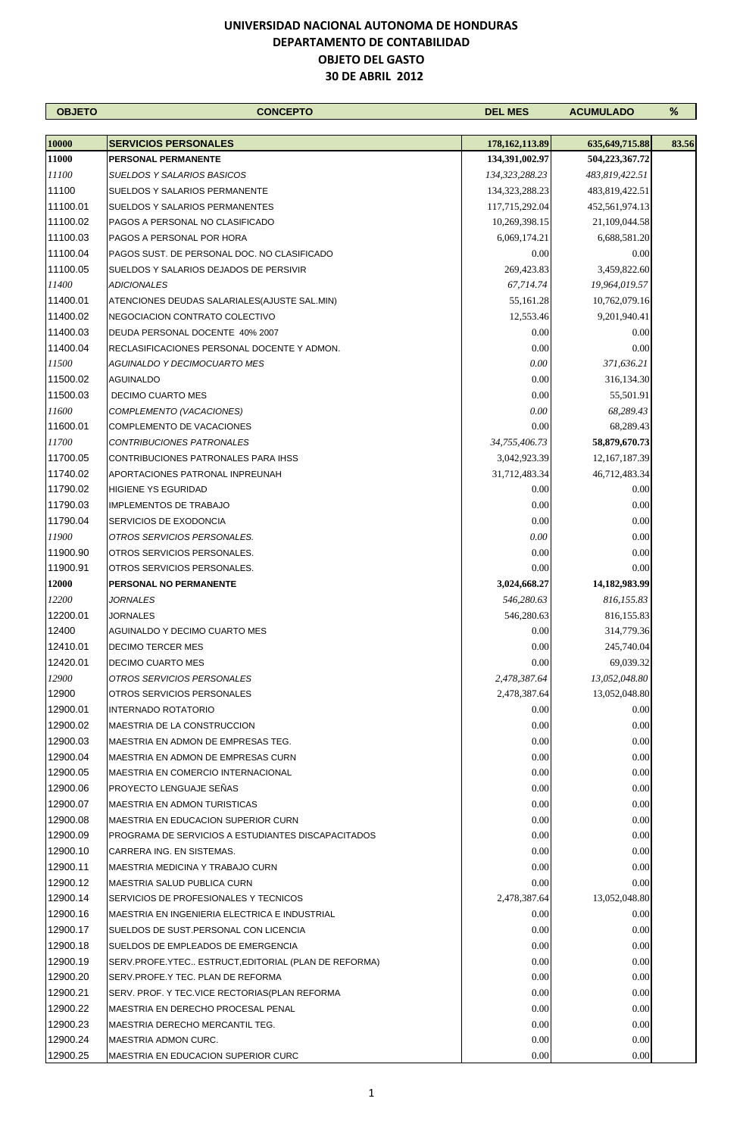| <b>OBJETO</b> | <b>CONCEPTO</b>                                     | <b>DEL MES</b>    | <b>ACUMULADO</b> | %     |
|---------------|-----------------------------------------------------|-------------------|------------------|-------|
|               |                                                     |                   |                  |       |
| 10000         | <b>SERVICIOS PERSONALES</b>                         | 178,162,113.89    | 635, 649, 715.88 | 83.56 |
| 11000         | <b>PERSONAL PERMANENTE</b>                          | 134,391,002.97    | 504,223,367.72   |       |
| 11100         | SUELDOS Y SALARIOS BASICOS                          | 134,323,288.23    | 483,819,422.51   |       |
| 11100         | SUELDOS Y SALARIOS PERMANENTE                       | 134, 323, 288. 23 | 483,819,422.51   |       |
| 11100.01      | SUELDOS Y SALARIOS PERMANENTES                      | 117,715,292.04    | 452,561,974.13   |       |
| 11100.02      | PAGOS A PERSONAL NO CLASIFICADO                     | 10,269,398.15     | 21,109,044.58    |       |
| 11100.03      | PAGOS A PERSONAL POR HORA                           | 6,069,174.21      | 6,688,581.20     |       |
| 11100.04      | PAGOS SUST. DE PERSONAL DOC. NO CLASIFICADO         | 0.00              | 0.00             |       |
| 11100.05      | SUELDOS Y SALARIOS DEJADOS DE PERSIVIR              | 269,423.83        | 3,459,822.60     |       |
| 11400         | <b>ADICIONALES</b>                                  | 67,714.74         | 19,964,019.57    |       |
| 11400.01      | ATENCIONES DEUDAS SALARIALES (AJUSTE SAL.MIN)       | 55,161.28         | 10,762,079.16    |       |
| 11400.02      | NEGOCIACION CONTRATO COLECTIVO                      | 12,553.46         | 9,201,940.41     |       |
| 11400.03      | DEUDA PERSONAL DOCENTE 40% 2007                     | 0.00              | $0.00\,$         |       |
| 11400.04      | RECLASIFICACIONES PERSONAL DOCENTE Y ADMON.         | 0.00              | 0.00             |       |
| 11500         | <b>AGUINALDO Y DECIMOCUARTO MES</b>                 | 0.00              | 371,636.21       |       |
| 11500.02      | AGUINALDO                                           | 0.00              | 316,134.30       |       |
| 11500.03      | <b>DECIMO CUARTO MES</b>                            | 0.00              | 55,501.91        |       |
| 11600         | COMPLEMENTO (VACACIONES)                            | 0.00              | 68,289.43        |       |
| 11600.01      | COMPLEMENTO DE VACACIONES                           | 0.00              | 68,289.43        |       |
| 11700         | <b>CONTRIBUCIONES PATRONALES</b>                    | 34,755,406.73     | 58,879,670.73    |       |
| 11700.05      | CONTRIBUCIONES PATRONALES PARA IHSS                 | 3,042,923.39      | 12, 167, 187. 39 |       |
| 11740.02      | APORTACIONES PATRONAL INPREUNAH                     | 31,712,483.34     | 46,712,483.34    |       |
| 11790.02      | <b>HIGIENE YS EGURIDAD</b>                          | 0.00              | 0.00             |       |
| 11790.03      | <b>IMPLEMENTOS DE TRABAJO</b>                       | 0.00              | 0.00             |       |
| 11790.04      | SERVICIOS DE EXODONCIA                              | 0.00              | 0.00             |       |
| 11900         | OTROS SERVICIOS PERSONALES.                         | 0.00              | 0.00             |       |
| 11900.90      | OTROS SERVICIOS PERSONALES.                         | 0.00              | 0.00             |       |
| 11900.91      | OTROS SERVICIOS PERSONALES.                         | 0.00              | 0.00             |       |
| 12000         | PERSONAL NO PERMANENTE                              | 3,024,668.27      | 14,182,983.99    |       |
| 12200         | <i>JORNALES</i>                                     | 546,280.63        | 816,155.83       |       |
| 12200.01      | <b>JORNALES</b>                                     | 546,280.63        | 816, 155.83      |       |
| 12400         | AGUINALDO Y DECIMO CUARTO MES                       | 0.00              | 314,779.36       |       |
| 12410.01      | <b>DECIMO TERCER MES</b>                            | $0.00\,$          | 245,740.04       |       |
| 12420.01      | <b>DECIMO CUARTO MES</b>                            | 0.00              | 69,039.32        |       |
| 12900         | OTROS SERVICIOS PERSONALES                          | 2,478,387.64      | 13,052,048.80    |       |
| 12900         | OTROS SERVICIOS PERSONALES                          | 2,478,387.64      | 13,052,048.80    |       |
| 12900.01      | <b>INTERNADO ROTATORIO</b>                          | 0.00              | 0.00             |       |
| 12900.02      | MAESTRIA DE LA CONSTRUCCION                         | 0.00              | 0.00             |       |
| 12900.03      | MAESTRIA EN ADMON DE EMPRESAS TEG.                  | 0.00              | 0.00             |       |
| 12900.04      | MAESTRIA EN ADMON DE EMPRESAS CURN                  | 0.00              | 0.00             |       |
| 12900.05      | MAESTRIA EN COMERCIO INTERNACIONAL                  | 0.00              | 0.00             |       |
| 12900.06      | PROYECTO LENGUAJE SEÑAS                             | 0.00              | 0.00             |       |
| 12900.07      | <b>MAESTRIA EN ADMON TURISTICAS</b>                 | 0.00              | 0.00             |       |
| 12900.08      | <b>MAESTRIA EN EDUCACION SUPERIOR CURN</b>          | 0.00              | 0.00             |       |
| 12900.09      | PROGRAMA DE SERVICIOS A ESTUDIANTES DISCAPACITADOS  | 0.00              | 0.00             |       |
| 12900.10      | CARRERA ING. EN SISTEMAS.                           | 0.00              | 0.00             |       |
| 12900.11      | MAESTRIA MEDICINA Y TRABAJO CURN                    | 0.00              | 0.00             |       |
| 12900.12      | MAESTRIA SALUD PUBLICA CURN                         | 0.00              | 0.00             |       |
| 12900.14      | SERVICIOS DE PROFESIONALES Y TECNICOS               | 2,478,387.64      | 13,052,048.80    |       |
| 12900.16      | MAESTRIA EN INGENIERIA ELECTRICA E INDUSTRIAL       | 0.00              | 0.00             |       |
| 12900.17      | SUELDOS DE SUST.PERSONAL CON LICENCIA               | 0.00              | 0.00             |       |
| 12900.18      | SUELDOS DE EMPLEADOS DE EMERGENCIA                  | 0.00              | 0.00             |       |
| 12900.19      | SERV.PROFE.YTEC ESTRUCT,EDITORIAL (PLAN DE REFORMA) | 0.00              | 0.00             |       |
| 12900.20      | SERV.PROFE.Y TEC. PLAN DE REFORMA                   | 0.00              | 0.00             |       |
| 12900.21      | SERV. PROF. Y TEC.VICE RECTORIAS (PLAN REFORMA      | 0.00              | 0.00             |       |
| 12900.22      | MAESTRIA EN DERECHO PROCESAL PENAL                  | 0.00              | 0.00             |       |
| 12900.23      | <b>MAESTRIA DERECHO MERCANTIL TEG.</b>              | 0.00              | 0.00             |       |
| 12900.24      | <b>MAESTRIA ADMON CURC.</b>                         | 0.00              | 0.00             |       |
| 12900.25      | MAESTRIA EN EDUCACION SUPERIOR CURC                 | 0.00              | 0.00             |       |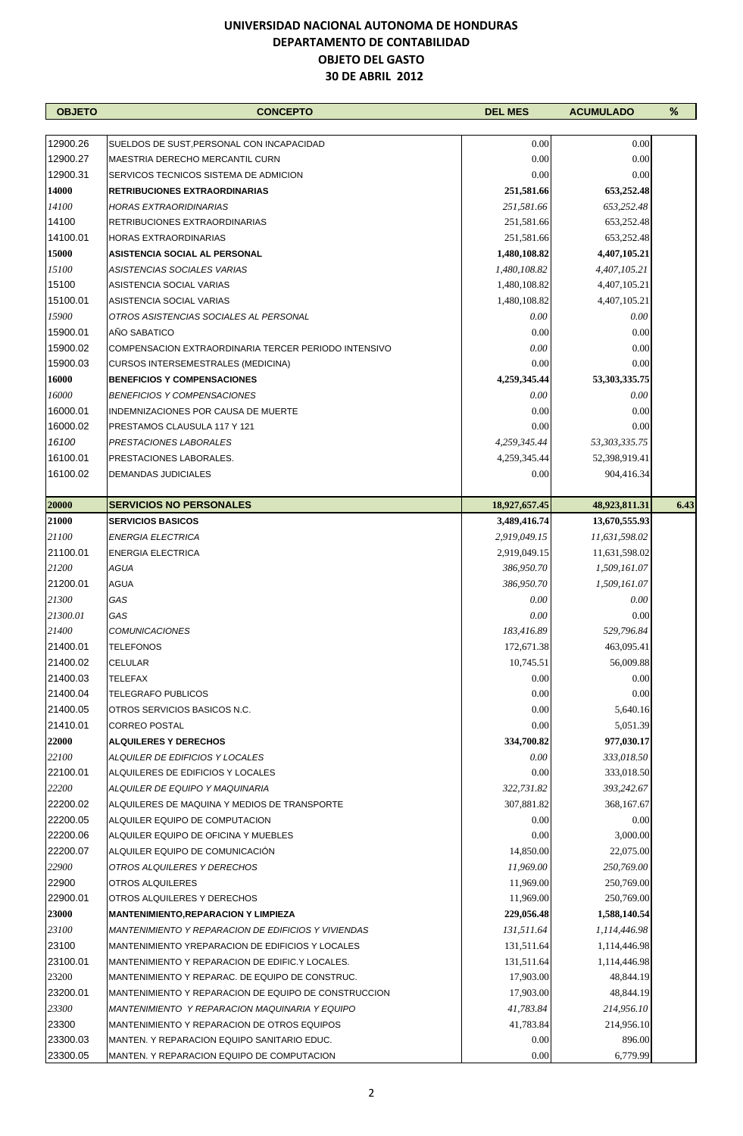| <b>OBJETO</b> | <b>CONCEPTO</b>                                       | <b>DEL MES</b> | <b>ACUMULADO</b> | %    |
|---------------|-------------------------------------------------------|----------------|------------------|------|
|               |                                                       |                |                  |      |
| 12900.26      | SUELDOS DE SUST, PERSONAL CON INCAPACIDAD             | 0.00           | 0.00             |      |
| 12900.27      | MAESTRIA DERECHO MERCANTIL CURN                       | $0.00\,$       | $0.00\,$         |      |
| 12900.31      | SERVICOS TECNICOS SISTEMA DE ADMICION                 | 0.00           | 0.00             |      |
| 14000         | <b>RETRIBUCIONES EXTRAORDINARIAS</b>                  | 251,581.66     | 653,252.48       |      |
| 14100         | <b>HORAS EXTRAORIDINARIAS</b>                         | 251,581.66     | 653,252.48       |      |
| 14100         | <b>RETRIBUCIONES EXTRAORDINARIAS</b>                  | 251,581.66     | 653,252.48       |      |
| 14100.01      | <b>HORAS EXTRAORDINARIAS</b>                          | 251,581.66     | 653,252.48       |      |
| 15000         | ASISTENCIA SOCIAL AL PERSONAL                         | 1,480,108.82   | 4,407,105.21     |      |
| 15100         | ASISTENCIAS SOCIALES VARIAS                           | 1,480,108.82   | 4,407,105.21     |      |
| 15100         | ASISTENCIA SOCIAL VARIAS                              | 1,480,108.82   | 4,407,105.21     |      |
| 15100.01      | ASISTENCIA SOCIAL VARIAS                              | 1,480,108.82   | 4,407,105.21     |      |
| 15900         | OTROS ASISTENCIAS SOCIALES AL PERSONAL                | 0.00           | 0.00             |      |
| 15900.01      | AÑO SABATICO                                          | 0.00           | 0.00             |      |
| 15900.02      | COMPENSACION EXTRAORDINARIA TERCER PERIODO INTENSIVO  | 0.00           | 0.00             |      |
| 15900.03      | <b>CURSOS INTERSEMESTRALES (MEDICINA)</b>             | 0.00           | 0.00             |      |
| 16000         | <b>BENEFICIOS Y COMPENSACIONES</b>                    | 4,259,345.44   | 53,303,335.75    |      |
| 16000         | <b>BENEFICIOS Y COMPENSACIONES</b>                    | 0.00           | 0.00             |      |
| 16000.01      | INDEMNIZACIONES POR CAUSA DE MUERTE                   | 0.00           | 0.00             |      |
| 16000.02      | PRESTAMOS CLAUSULA 117 Y 121                          | 0.00           | 0.00             |      |
| 16100         | PRESTACIONES LABORALES                                | 4,259,345.44   | 53,303,335.75    |      |
| 16100.01      | PRESTACIONES LABORALES.                               | 4,259,345.44   | 52,398,919.41    |      |
| 16100.02      | <b>DEMANDAS JUDICIALES</b>                            | 0.00           | 904,416.34       |      |
| 20000         | <b>SERVICIOS NO PERSONALES</b>                        | 18,927,657.45  | 48,923,811.31    | 6.43 |
| 21000         | <b>SERVICIOS BASICOS</b>                              | 3,489,416.74   | 13,670,555.93    |      |
| 21100         | <b>ENERGIA ELECTRICA</b>                              | 2,919,049.15   | 11,631,598.02    |      |
| 21100.01      | <b>ENERGIA ELECTRICA</b>                              | 2,919,049.15   | 11,631,598.02    |      |
| 21200         | <b>AGUA</b>                                           | 386,950.70     | 1,509,161.07     |      |
| 21200.01      | <b>AGUA</b>                                           | 386,950.70     | 1,509,161.07     |      |
| 21300         | GAS                                                   | 0.00           | 0.00             |      |
| 21300.01      | GAS                                                   | 0.00           | 0.00             |      |
| 21400         | <b>COMUNICACIONES</b>                                 | 183,416.89     | 529,796.84       |      |
| 21400.01      | <b>TELEFONOS</b>                                      | 172,671.38     | 463,095.41       |      |
| 21400.02      | <b>CELULAR</b>                                        | 10,745.51      | 56,009.88        |      |
| 21400.03      | <b>TELEFAX</b>                                        | 0.00           | 0.00             |      |
| 21400.04      | <b>TELEGRAFO PUBLICOS</b>                             | 0.00           | 0.00             |      |
| 21400.05      | OTROS SERVICIOS BASICOS N.C.                          | 0.00           | 5,640.16         |      |
| 21410.01      | <b>CORREO POSTAL</b>                                  | 0.00           | 5,051.39         |      |
| 22000         | <b>ALQUILERES Y DERECHOS</b>                          | 334,700.82     | 977,030.17       |      |
| 22100         | ALQUILER DE EDIFICIOS Y LOCALES                       | 0.00           | 333,018.50       |      |
| 22100.01      | ALQUILERES DE EDIFICIOS Y LOCALES                     | 0.00           | 333,018.50       |      |
| 22200         | ALQUILER DE EQUIPO Y MAQUINARIA                       | 322,731.82     | 393,242.67       |      |
| 22200.02      | ALQUILERES DE MAQUINA Y MEDIOS DE TRANSPORTE          | 307,881.82     | 368, 167.67      |      |
| 22200.05      | ALQUILER EQUIPO DE COMPUTACION                        | 0.00           | 0.00             |      |
| 22200.06      | ALQUILER EQUIPO DE OFICINA Y MUEBLES                  | 0.00           | 3,000.00         |      |
| 22200.07      | ALQUILER EQUIPO DE COMUNICACIÓN                       | 14,850.00      | 22,075.00        |      |
| 22900         | OTROS ALQUILERES Y DERECHOS                           | 11,969.00      | 250,769.00       |      |
| 22900         | OTROS ALQUILERES                                      | 11,969.00      | 250,769.00       |      |
| 22900.01      | OTROS ALQUILERES Y DERECHOS                           | 11,969.00      | 250,769.00       |      |
| 23000         | <b>MANTENIMIENTO, REPARACION Y LIMPIEZA</b>           | 229,056.48     | 1,588,140.54     |      |
| 23100         | MANTENIMIENTO Y REPARACION DE EDIFICIOS Y VIVIENDAS   | 131,511.64     | 1,114,446.98     |      |
| 23100         | MANTENIMIENTO YREPARACION DE EDIFICIOS Y LOCALES      | 131,511.64     | 1,114,446.98     |      |
| 23100.01      | MANTENIMIENTO Y REPARACION DE EDIFIC.Y LOCALES.       | 131,511.64     | 1,114,446.98     |      |
| 23200         | MANTENIMIENTO Y REPARAC. DE EQUIPO DE CONSTRUC.       | 17,903.00      | 48,844.19        |      |
| 23200.01      | MANTENIMIENTO Y REPARACION DE EQUIPO DE CONSTRUCCION  | 17,903.00      | 48,844.19        |      |
| 23300         | <b>MANTENIMIENTO Y REPARACION MAQUINARIA Y EQUIPO</b> | 41,783.84      | 214,956.10       |      |
| 23300         | MANTENIMIENTO Y REPARACION DE OTROS EQUIPOS           | 41,783.84      | 214,956.10       |      |
| 23300.03      | MANTEN. Y REPARACION EQUIPO SANITARIO EDUC.           | 0.00           | 896.00           |      |
| 23300.05      | MANTEN. Y REPARACION EQUIPO DE COMPUTACION            | 0.00           | 6,779.99         |      |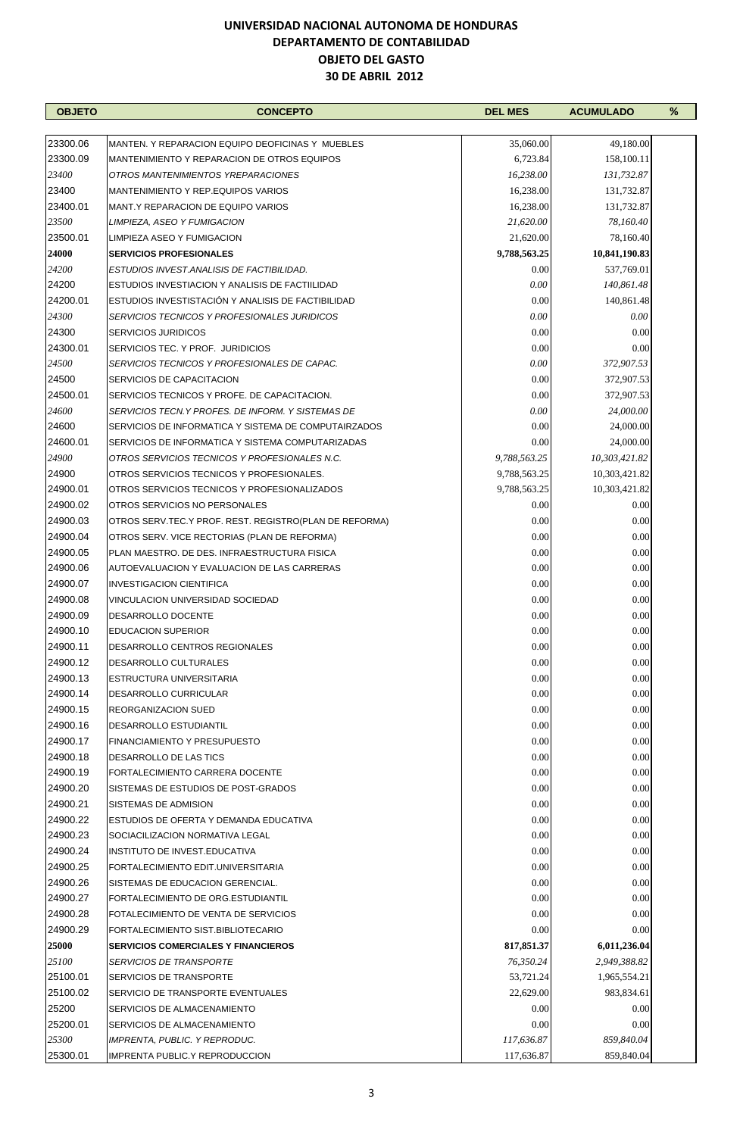| 23300.06<br>35,060.00<br>49,180.00<br>MANTEN. Y REPARACION EQUIPO DEOFICINAS Y MUEBLES<br>23300.09<br>MANTENIMIENTO Y REPARACION DE OTROS EQUIPOS<br>6,723.84<br>158,100.11<br>OTROS MANTENIMIENTOS YREPARACIONES<br>16,238.00<br>131,732.87<br>MANTENIMIENTO Y REP.EQUIPOS VARIOS<br>16,238.00<br>131,732.87<br>23400.01<br>MANT.Y REPARACION DE EQUIPO VARIOS<br>16,238.00<br>131,732.87<br>21,620.00<br>78,160.40<br>LIMPIEZA, ASEO Y FUMIGACION<br>21,620.00<br>78,160.40<br>LIMPIEZA ASEO Y FUMIGACION<br>9,788,563.25<br>10,841,190.83<br><b>SERVICIOS PROFESIONALES</b><br>0.00<br>ESTUDIOS INVEST. ANALISIS DE FACTIBILIDAD.<br>537,769.01<br>0.00<br>ESTUDIOS INVESTIACION Y ANALISIS DE FACTIILIDAD<br>140,861.48<br>24200.01<br>0.00<br>ESTUDIOS INVESTISTACIÓN Y ANALISIS DE FACTIBILIDAD<br>140,861.48<br>24300<br>0.00<br>0.00<br>SERVICIOS TECNICOS Y PROFESIONALES JURIDICOS<br>24300<br>0.00<br>0.00<br><b>SERVICIOS JURIDICOS</b><br>24300.01<br>0.00<br>0.00<br>SERVICIOS TEC. Y PROF. JURIDICIOS<br>24500<br>0.00<br>372,907.53<br>SERVICIOS TECNICOS Y PROFESIONALES DE CAPAC.<br>24500<br>0.00<br>SERVICIOS DE CAPACITACION<br>372,907.53<br>24500.01<br>0.00<br>SERVICIOS TECNICOS Y PROFE. DE CAPACITACION.<br>372,907.53<br>24600<br>SERVICIOS TECN.Y PROFES. DE INFORM. Y SISTEMAS DE<br>0.00<br>24,000.00<br>24600<br>0.00<br>24,000.00<br>SERVICIOS DE INFORMATICA Y SISTEMA DE COMPUTAIRZADOS<br>24600.01<br>0.00<br>24,000.00<br>SERVICIOS DE INFORMATICA Y SISTEMA COMPUTARIZADAS<br>24900<br>9,788,563.25<br>10,303,421.82<br>OTROS SERVICIOS TECNICOS Y PROFESIONALES N.C.<br>24900<br>OTROS SERVICIOS TECNICOS Y PROFESIONALES.<br>9,788,563.25<br>10,303,421.82<br>24900.01<br>OTROS SERVICIOS TECNICOS Y PROFESIONALIZADOS<br>9,788,563.25<br>10,303,421.82<br>24900.02<br>OTROS SERVICIOS NO PERSONALES<br>0.00<br>0.00<br>24900.03<br>0.00<br>0.00<br>OTROS SERV.TEC.Y PROF. REST. REGISTRO(PLAN DE REFORMA)<br>24900.04<br>0.00<br>0.00<br>OTROS SERV. VICE RECTORIAS (PLAN DE REFORMA)<br>24900.05<br>0.00<br>0.00<br>PLAN MAESTRO. DE DES. INFRAESTRUCTURA FISICA<br>0.00<br>24900.06<br>0.00<br>AUTOEVALUACION Y EVALUACION DE LAS CARRERAS<br>24900.07<br>0.00<br>0.00<br><b>INVESTIGACION CIENTIFICA</b><br>24900.08<br>0.00<br>0.00<br>VINCULACION UNIVERSIDAD SOCIEDAD<br>24900.09<br>0.00<br>0.00<br>DESARROLLO DOCENTE<br>24900.10<br>0.00<br>0.00<br><b>EDUCACION SUPERIOR</b><br>24900.11<br>$0.00\,$<br>$0.00\,$<br>DESARROLLO CENTROS REGIONALES<br>0.00<br>0.00<br>24900.12<br>DESARROLLO CULTURALES<br>24900.13<br>0.00<br>ESTRUCTURA UNIVERSITARIA<br>0.00<br>24900.14<br>0.00<br>0.00<br>DESARROLLO CURRICULAR<br>24900.15<br>0.00<br><b>REORGANIZACION SUED</b><br>0.00<br>24900.16<br>0.00<br>0.00<br><b>DESARROLLO ESTUDIANTIL</b><br>0.00<br>0.00<br>24900.17<br><b>FINANCIAMIENTO Y PRESUPUESTO</b><br>24900.18<br>0.00<br>0.00<br><b>DESARROLLO DE LAS TICS</b><br>0.00<br>24900.19<br>0.00<br>FORTALECIMIENTO CARRERA DOCENTE<br>24900.20<br>0.00<br>0.00<br>SISTEMAS DE ESTUDIOS DE POST-GRADOS<br>24900.21<br>0.00<br>0.00<br>SISTEMAS DE ADMISION<br>24900.22<br>0.00<br>0.00<br>ESTUDIOS DE OFERTA Y DEMANDA EDUCATIVA<br>24900.23<br>0.00<br>0.00<br>SOCIACILIZACION NORMATIVA LEGAL<br>0.00<br>24900.24<br>0.00<br>INSTITUTO DE INVEST.EDUCATIVA<br>24900.25<br>0.00<br>0.00<br>FORTALECIMIENTO EDIT.UNIVERSITARIA<br>24900.26<br>0.00<br>SISTEMAS DE EDUCACION GERENCIAL.<br>0.00<br>24900.27<br>FORTALECIMIENTO DE ORG.ESTUDIANTIL<br>0.00<br>0.00<br>24900.28<br>0.00<br>0.00<br>FOTALECIMIENTO DE VENTA DE SERVICIOS<br>24900.29<br>FORTALECIMIENTO SIST.BIBLIOTECARIO<br>0.00<br>0.00<br>25000<br>817,851.37<br>6,011,236.04<br><b>SERVICIOS COMERCIALES Y FINANCIEROS</b><br>25100<br>76,350.24<br>2,949,388.82<br><b>SERVICIOS DE TRANSPORTE</b><br>25100.01<br><b>SERVICIOS DE TRANSPORTE</b><br>53,721.24<br>1,965,554.21<br>25100.02<br>SERVICIO DE TRANSPORTE EVENTUALES<br>22,629.00<br>983,834.61<br>25200<br>0.00<br>0.00<br>SERVICIOS DE ALMACENAMIENTO<br>25200.01<br>0.00<br>0.00<br>SERVICIOS DE ALMACENAMIENTO<br>25300<br>117,636.87<br>859,840.04<br><b>IMPRENTA, PUBLIC. Y REPRODUC.</b><br>25300.01<br>117,636.87<br>IMPRENTA PUBLIC.Y REPRODUCCION<br>859,840.04 | <b>OBJETO</b> | <b>CONCEPTO</b> | <b>DEL MES</b> | <b>ACUMULADO</b> | $\%$ |
|---------------------------------------------------------------------------------------------------------------------------------------------------------------------------------------------------------------------------------------------------------------------------------------------------------------------------------------------------------------------------------------------------------------------------------------------------------------------------------------------------------------------------------------------------------------------------------------------------------------------------------------------------------------------------------------------------------------------------------------------------------------------------------------------------------------------------------------------------------------------------------------------------------------------------------------------------------------------------------------------------------------------------------------------------------------------------------------------------------------------------------------------------------------------------------------------------------------------------------------------------------------------------------------------------------------------------------------------------------------------------------------------------------------------------------------------------------------------------------------------------------------------------------------------------------------------------------------------------------------------------------------------------------------------------------------------------------------------------------------------------------------------------------------------------------------------------------------------------------------------------------------------------------------------------------------------------------------------------------------------------------------------------------------------------------------------------------------------------------------------------------------------------------------------------------------------------------------------------------------------------------------------------------------------------------------------------------------------------------------------------------------------------------------------------------------------------------------------------------------------------------------------------------------------------------------------------------------------------------------------------------------------------------------------------------------------------------------------------------------------------------------------------------------------------------------------------------------------------------------------------------------------------------------------------------------------------------------------------------------------------------------------------------------------------------------------------------------------------------------------------------------------------------------------------------------------------------------------------------------------------------------------------------------------------------------------------------------------------------------------------------------------------------------------------------------------------------------------------------------------------------------------------------------------------------------------------------------------------------------------------------------------------------------------------------------------------------------------------------------------------------------------------------------------------------------------------------------------------------------------------------------------------------------------------------------------------------------------------------------------------------------------------------------------------------------------------------------------------------------------------------------------------------------------------------------------------------------------------------------------------------------|---------------|-----------------|----------------|------------------|------|
|                                                                                                                                                                                                                                                                                                                                                                                                                                                                                                                                                                                                                                                                                                                                                                                                                                                                                                                                                                                                                                                                                                                                                                                                                                                                                                                                                                                                                                                                                                                                                                                                                                                                                                                                                                                                                                                                                                                                                                                                                                                                                                                                                                                                                                                                                                                                                                                                                                                                                                                                                                                                                                                                                                                                                                                                                                                                                                                                                                                                                                                                                                                                                                                                                                                                                                                                                                                                                                                                                                                                                                                                                                                                                                                                                                                                                                                                                                                                                                                                                                                                                                                                                                                                                                                               |               |                 |                |                  |      |
|                                                                                                                                                                                                                                                                                                                                                                                                                                                                                                                                                                                                                                                                                                                                                                                                                                                                                                                                                                                                                                                                                                                                                                                                                                                                                                                                                                                                                                                                                                                                                                                                                                                                                                                                                                                                                                                                                                                                                                                                                                                                                                                                                                                                                                                                                                                                                                                                                                                                                                                                                                                                                                                                                                                                                                                                                                                                                                                                                                                                                                                                                                                                                                                                                                                                                                                                                                                                                                                                                                                                                                                                                                                                                                                                                                                                                                                                                                                                                                                                                                                                                                                                                                                                                                                               |               |                 |                |                  |      |
|                                                                                                                                                                                                                                                                                                                                                                                                                                                                                                                                                                                                                                                                                                                                                                                                                                                                                                                                                                                                                                                                                                                                                                                                                                                                                                                                                                                                                                                                                                                                                                                                                                                                                                                                                                                                                                                                                                                                                                                                                                                                                                                                                                                                                                                                                                                                                                                                                                                                                                                                                                                                                                                                                                                                                                                                                                                                                                                                                                                                                                                                                                                                                                                                                                                                                                                                                                                                                                                                                                                                                                                                                                                                                                                                                                                                                                                                                                                                                                                                                                                                                                                                                                                                                                                               |               |                 |                |                  |      |
|                                                                                                                                                                                                                                                                                                                                                                                                                                                                                                                                                                                                                                                                                                                                                                                                                                                                                                                                                                                                                                                                                                                                                                                                                                                                                                                                                                                                                                                                                                                                                                                                                                                                                                                                                                                                                                                                                                                                                                                                                                                                                                                                                                                                                                                                                                                                                                                                                                                                                                                                                                                                                                                                                                                                                                                                                                                                                                                                                                                                                                                                                                                                                                                                                                                                                                                                                                                                                                                                                                                                                                                                                                                                                                                                                                                                                                                                                                                                                                                                                                                                                                                                                                                                                                                               | 23400         |                 |                |                  |      |
|                                                                                                                                                                                                                                                                                                                                                                                                                                                                                                                                                                                                                                                                                                                                                                                                                                                                                                                                                                                                                                                                                                                                                                                                                                                                                                                                                                                                                                                                                                                                                                                                                                                                                                                                                                                                                                                                                                                                                                                                                                                                                                                                                                                                                                                                                                                                                                                                                                                                                                                                                                                                                                                                                                                                                                                                                                                                                                                                                                                                                                                                                                                                                                                                                                                                                                                                                                                                                                                                                                                                                                                                                                                                                                                                                                                                                                                                                                                                                                                                                                                                                                                                                                                                                                                               | 23400         |                 |                |                  |      |
|                                                                                                                                                                                                                                                                                                                                                                                                                                                                                                                                                                                                                                                                                                                                                                                                                                                                                                                                                                                                                                                                                                                                                                                                                                                                                                                                                                                                                                                                                                                                                                                                                                                                                                                                                                                                                                                                                                                                                                                                                                                                                                                                                                                                                                                                                                                                                                                                                                                                                                                                                                                                                                                                                                                                                                                                                                                                                                                                                                                                                                                                                                                                                                                                                                                                                                                                                                                                                                                                                                                                                                                                                                                                                                                                                                                                                                                                                                                                                                                                                                                                                                                                                                                                                                                               |               |                 |                |                  |      |
|                                                                                                                                                                                                                                                                                                                                                                                                                                                                                                                                                                                                                                                                                                                                                                                                                                                                                                                                                                                                                                                                                                                                                                                                                                                                                                                                                                                                                                                                                                                                                                                                                                                                                                                                                                                                                                                                                                                                                                                                                                                                                                                                                                                                                                                                                                                                                                                                                                                                                                                                                                                                                                                                                                                                                                                                                                                                                                                                                                                                                                                                                                                                                                                                                                                                                                                                                                                                                                                                                                                                                                                                                                                                                                                                                                                                                                                                                                                                                                                                                                                                                                                                                                                                                                                               | 23500         |                 |                |                  |      |
|                                                                                                                                                                                                                                                                                                                                                                                                                                                                                                                                                                                                                                                                                                                                                                                                                                                                                                                                                                                                                                                                                                                                                                                                                                                                                                                                                                                                                                                                                                                                                                                                                                                                                                                                                                                                                                                                                                                                                                                                                                                                                                                                                                                                                                                                                                                                                                                                                                                                                                                                                                                                                                                                                                                                                                                                                                                                                                                                                                                                                                                                                                                                                                                                                                                                                                                                                                                                                                                                                                                                                                                                                                                                                                                                                                                                                                                                                                                                                                                                                                                                                                                                                                                                                                                               | 23500.01      |                 |                |                  |      |
|                                                                                                                                                                                                                                                                                                                                                                                                                                                                                                                                                                                                                                                                                                                                                                                                                                                                                                                                                                                                                                                                                                                                                                                                                                                                                                                                                                                                                                                                                                                                                                                                                                                                                                                                                                                                                                                                                                                                                                                                                                                                                                                                                                                                                                                                                                                                                                                                                                                                                                                                                                                                                                                                                                                                                                                                                                                                                                                                                                                                                                                                                                                                                                                                                                                                                                                                                                                                                                                                                                                                                                                                                                                                                                                                                                                                                                                                                                                                                                                                                                                                                                                                                                                                                                                               | 24000         |                 |                |                  |      |
|                                                                                                                                                                                                                                                                                                                                                                                                                                                                                                                                                                                                                                                                                                                                                                                                                                                                                                                                                                                                                                                                                                                                                                                                                                                                                                                                                                                                                                                                                                                                                                                                                                                                                                                                                                                                                                                                                                                                                                                                                                                                                                                                                                                                                                                                                                                                                                                                                                                                                                                                                                                                                                                                                                                                                                                                                                                                                                                                                                                                                                                                                                                                                                                                                                                                                                                                                                                                                                                                                                                                                                                                                                                                                                                                                                                                                                                                                                                                                                                                                                                                                                                                                                                                                                                               | 24200         |                 |                |                  |      |
|                                                                                                                                                                                                                                                                                                                                                                                                                                                                                                                                                                                                                                                                                                                                                                                                                                                                                                                                                                                                                                                                                                                                                                                                                                                                                                                                                                                                                                                                                                                                                                                                                                                                                                                                                                                                                                                                                                                                                                                                                                                                                                                                                                                                                                                                                                                                                                                                                                                                                                                                                                                                                                                                                                                                                                                                                                                                                                                                                                                                                                                                                                                                                                                                                                                                                                                                                                                                                                                                                                                                                                                                                                                                                                                                                                                                                                                                                                                                                                                                                                                                                                                                                                                                                                                               | 24200         |                 |                |                  |      |
|                                                                                                                                                                                                                                                                                                                                                                                                                                                                                                                                                                                                                                                                                                                                                                                                                                                                                                                                                                                                                                                                                                                                                                                                                                                                                                                                                                                                                                                                                                                                                                                                                                                                                                                                                                                                                                                                                                                                                                                                                                                                                                                                                                                                                                                                                                                                                                                                                                                                                                                                                                                                                                                                                                                                                                                                                                                                                                                                                                                                                                                                                                                                                                                                                                                                                                                                                                                                                                                                                                                                                                                                                                                                                                                                                                                                                                                                                                                                                                                                                                                                                                                                                                                                                                                               |               |                 |                |                  |      |
|                                                                                                                                                                                                                                                                                                                                                                                                                                                                                                                                                                                                                                                                                                                                                                                                                                                                                                                                                                                                                                                                                                                                                                                                                                                                                                                                                                                                                                                                                                                                                                                                                                                                                                                                                                                                                                                                                                                                                                                                                                                                                                                                                                                                                                                                                                                                                                                                                                                                                                                                                                                                                                                                                                                                                                                                                                                                                                                                                                                                                                                                                                                                                                                                                                                                                                                                                                                                                                                                                                                                                                                                                                                                                                                                                                                                                                                                                                                                                                                                                                                                                                                                                                                                                                                               |               |                 |                |                  |      |
|                                                                                                                                                                                                                                                                                                                                                                                                                                                                                                                                                                                                                                                                                                                                                                                                                                                                                                                                                                                                                                                                                                                                                                                                                                                                                                                                                                                                                                                                                                                                                                                                                                                                                                                                                                                                                                                                                                                                                                                                                                                                                                                                                                                                                                                                                                                                                                                                                                                                                                                                                                                                                                                                                                                                                                                                                                                                                                                                                                                                                                                                                                                                                                                                                                                                                                                                                                                                                                                                                                                                                                                                                                                                                                                                                                                                                                                                                                                                                                                                                                                                                                                                                                                                                                                               |               |                 |                |                  |      |
|                                                                                                                                                                                                                                                                                                                                                                                                                                                                                                                                                                                                                                                                                                                                                                                                                                                                                                                                                                                                                                                                                                                                                                                                                                                                                                                                                                                                                                                                                                                                                                                                                                                                                                                                                                                                                                                                                                                                                                                                                                                                                                                                                                                                                                                                                                                                                                                                                                                                                                                                                                                                                                                                                                                                                                                                                                                                                                                                                                                                                                                                                                                                                                                                                                                                                                                                                                                                                                                                                                                                                                                                                                                                                                                                                                                                                                                                                                                                                                                                                                                                                                                                                                                                                                                               |               |                 |                |                  |      |
|                                                                                                                                                                                                                                                                                                                                                                                                                                                                                                                                                                                                                                                                                                                                                                                                                                                                                                                                                                                                                                                                                                                                                                                                                                                                                                                                                                                                                                                                                                                                                                                                                                                                                                                                                                                                                                                                                                                                                                                                                                                                                                                                                                                                                                                                                                                                                                                                                                                                                                                                                                                                                                                                                                                                                                                                                                                                                                                                                                                                                                                                                                                                                                                                                                                                                                                                                                                                                                                                                                                                                                                                                                                                                                                                                                                                                                                                                                                                                                                                                                                                                                                                                                                                                                                               |               |                 |                |                  |      |
|                                                                                                                                                                                                                                                                                                                                                                                                                                                                                                                                                                                                                                                                                                                                                                                                                                                                                                                                                                                                                                                                                                                                                                                                                                                                                                                                                                                                                                                                                                                                                                                                                                                                                                                                                                                                                                                                                                                                                                                                                                                                                                                                                                                                                                                                                                                                                                                                                                                                                                                                                                                                                                                                                                                                                                                                                                                                                                                                                                                                                                                                                                                                                                                                                                                                                                                                                                                                                                                                                                                                                                                                                                                                                                                                                                                                                                                                                                                                                                                                                                                                                                                                                                                                                                                               |               |                 |                |                  |      |
|                                                                                                                                                                                                                                                                                                                                                                                                                                                                                                                                                                                                                                                                                                                                                                                                                                                                                                                                                                                                                                                                                                                                                                                                                                                                                                                                                                                                                                                                                                                                                                                                                                                                                                                                                                                                                                                                                                                                                                                                                                                                                                                                                                                                                                                                                                                                                                                                                                                                                                                                                                                                                                                                                                                                                                                                                                                                                                                                                                                                                                                                                                                                                                                                                                                                                                                                                                                                                                                                                                                                                                                                                                                                                                                                                                                                                                                                                                                                                                                                                                                                                                                                                                                                                                                               |               |                 |                |                  |      |
|                                                                                                                                                                                                                                                                                                                                                                                                                                                                                                                                                                                                                                                                                                                                                                                                                                                                                                                                                                                                                                                                                                                                                                                                                                                                                                                                                                                                                                                                                                                                                                                                                                                                                                                                                                                                                                                                                                                                                                                                                                                                                                                                                                                                                                                                                                                                                                                                                                                                                                                                                                                                                                                                                                                                                                                                                                                                                                                                                                                                                                                                                                                                                                                                                                                                                                                                                                                                                                                                                                                                                                                                                                                                                                                                                                                                                                                                                                                                                                                                                                                                                                                                                                                                                                                               |               |                 |                |                  |      |
|                                                                                                                                                                                                                                                                                                                                                                                                                                                                                                                                                                                                                                                                                                                                                                                                                                                                                                                                                                                                                                                                                                                                                                                                                                                                                                                                                                                                                                                                                                                                                                                                                                                                                                                                                                                                                                                                                                                                                                                                                                                                                                                                                                                                                                                                                                                                                                                                                                                                                                                                                                                                                                                                                                                                                                                                                                                                                                                                                                                                                                                                                                                                                                                                                                                                                                                                                                                                                                                                                                                                                                                                                                                                                                                                                                                                                                                                                                                                                                                                                                                                                                                                                                                                                                                               |               |                 |                |                  |      |
|                                                                                                                                                                                                                                                                                                                                                                                                                                                                                                                                                                                                                                                                                                                                                                                                                                                                                                                                                                                                                                                                                                                                                                                                                                                                                                                                                                                                                                                                                                                                                                                                                                                                                                                                                                                                                                                                                                                                                                                                                                                                                                                                                                                                                                                                                                                                                                                                                                                                                                                                                                                                                                                                                                                                                                                                                                                                                                                                                                                                                                                                                                                                                                                                                                                                                                                                                                                                                                                                                                                                                                                                                                                                                                                                                                                                                                                                                                                                                                                                                                                                                                                                                                                                                                                               |               |                 |                |                  |      |
|                                                                                                                                                                                                                                                                                                                                                                                                                                                                                                                                                                                                                                                                                                                                                                                                                                                                                                                                                                                                                                                                                                                                                                                                                                                                                                                                                                                                                                                                                                                                                                                                                                                                                                                                                                                                                                                                                                                                                                                                                                                                                                                                                                                                                                                                                                                                                                                                                                                                                                                                                                                                                                                                                                                                                                                                                                                                                                                                                                                                                                                                                                                                                                                                                                                                                                                                                                                                                                                                                                                                                                                                                                                                                                                                                                                                                                                                                                                                                                                                                                                                                                                                                                                                                                                               |               |                 |                |                  |      |
|                                                                                                                                                                                                                                                                                                                                                                                                                                                                                                                                                                                                                                                                                                                                                                                                                                                                                                                                                                                                                                                                                                                                                                                                                                                                                                                                                                                                                                                                                                                                                                                                                                                                                                                                                                                                                                                                                                                                                                                                                                                                                                                                                                                                                                                                                                                                                                                                                                                                                                                                                                                                                                                                                                                                                                                                                                                                                                                                                                                                                                                                                                                                                                                                                                                                                                                                                                                                                                                                                                                                                                                                                                                                                                                                                                                                                                                                                                                                                                                                                                                                                                                                                                                                                                                               |               |                 |                |                  |      |
|                                                                                                                                                                                                                                                                                                                                                                                                                                                                                                                                                                                                                                                                                                                                                                                                                                                                                                                                                                                                                                                                                                                                                                                                                                                                                                                                                                                                                                                                                                                                                                                                                                                                                                                                                                                                                                                                                                                                                                                                                                                                                                                                                                                                                                                                                                                                                                                                                                                                                                                                                                                                                                                                                                                                                                                                                                                                                                                                                                                                                                                                                                                                                                                                                                                                                                                                                                                                                                                                                                                                                                                                                                                                                                                                                                                                                                                                                                                                                                                                                                                                                                                                                                                                                                                               |               |                 |                |                  |      |
|                                                                                                                                                                                                                                                                                                                                                                                                                                                                                                                                                                                                                                                                                                                                                                                                                                                                                                                                                                                                                                                                                                                                                                                                                                                                                                                                                                                                                                                                                                                                                                                                                                                                                                                                                                                                                                                                                                                                                                                                                                                                                                                                                                                                                                                                                                                                                                                                                                                                                                                                                                                                                                                                                                                                                                                                                                                                                                                                                                                                                                                                                                                                                                                                                                                                                                                                                                                                                                                                                                                                                                                                                                                                                                                                                                                                                                                                                                                                                                                                                                                                                                                                                                                                                                                               |               |                 |                |                  |      |
|                                                                                                                                                                                                                                                                                                                                                                                                                                                                                                                                                                                                                                                                                                                                                                                                                                                                                                                                                                                                                                                                                                                                                                                                                                                                                                                                                                                                                                                                                                                                                                                                                                                                                                                                                                                                                                                                                                                                                                                                                                                                                                                                                                                                                                                                                                                                                                                                                                                                                                                                                                                                                                                                                                                                                                                                                                                                                                                                                                                                                                                                                                                                                                                                                                                                                                                                                                                                                                                                                                                                                                                                                                                                                                                                                                                                                                                                                                                                                                                                                                                                                                                                                                                                                                                               |               |                 |                |                  |      |
|                                                                                                                                                                                                                                                                                                                                                                                                                                                                                                                                                                                                                                                                                                                                                                                                                                                                                                                                                                                                                                                                                                                                                                                                                                                                                                                                                                                                                                                                                                                                                                                                                                                                                                                                                                                                                                                                                                                                                                                                                                                                                                                                                                                                                                                                                                                                                                                                                                                                                                                                                                                                                                                                                                                                                                                                                                                                                                                                                                                                                                                                                                                                                                                                                                                                                                                                                                                                                                                                                                                                                                                                                                                                                                                                                                                                                                                                                                                                                                                                                                                                                                                                                                                                                                                               |               |                 |                |                  |      |
|                                                                                                                                                                                                                                                                                                                                                                                                                                                                                                                                                                                                                                                                                                                                                                                                                                                                                                                                                                                                                                                                                                                                                                                                                                                                                                                                                                                                                                                                                                                                                                                                                                                                                                                                                                                                                                                                                                                                                                                                                                                                                                                                                                                                                                                                                                                                                                                                                                                                                                                                                                                                                                                                                                                                                                                                                                                                                                                                                                                                                                                                                                                                                                                                                                                                                                                                                                                                                                                                                                                                                                                                                                                                                                                                                                                                                                                                                                                                                                                                                                                                                                                                                                                                                                                               |               |                 |                |                  |      |
|                                                                                                                                                                                                                                                                                                                                                                                                                                                                                                                                                                                                                                                                                                                                                                                                                                                                                                                                                                                                                                                                                                                                                                                                                                                                                                                                                                                                                                                                                                                                                                                                                                                                                                                                                                                                                                                                                                                                                                                                                                                                                                                                                                                                                                                                                                                                                                                                                                                                                                                                                                                                                                                                                                                                                                                                                                                                                                                                                                                                                                                                                                                                                                                                                                                                                                                                                                                                                                                                                                                                                                                                                                                                                                                                                                                                                                                                                                                                                                                                                                                                                                                                                                                                                                                               |               |                 |                |                  |      |
|                                                                                                                                                                                                                                                                                                                                                                                                                                                                                                                                                                                                                                                                                                                                                                                                                                                                                                                                                                                                                                                                                                                                                                                                                                                                                                                                                                                                                                                                                                                                                                                                                                                                                                                                                                                                                                                                                                                                                                                                                                                                                                                                                                                                                                                                                                                                                                                                                                                                                                                                                                                                                                                                                                                                                                                                                                                                                                                                                                                                                                                                                                                                                                                                                                                                                                                                                                                                                                                                                                                                                                                                                                                                                                                                                                                                                                                                                                                                                                                                                                                                                                                                                                                                                                                               |               |                 |                |                  |      |
|                                                                                                                                                                                                                                                                                                                                                                                                                                                                                                                                                                                                                                                                                                                                                                                                                                                                                                                                                                                                                                                                                                                                                                                                                                                                                                                                                                                                                                                                                                                                                                                                                                                                                                                                                                                                                                                                                                                                                                                                                                                                                                                                                                                                                                                                                                                                                                                                                                                                                                                                                                                                                                                                                                                                                                                                                                                                                                                                                                                                                                                                                                                                                                                                                                                                                                                                                                                                                                                                                                                                                                                                                                                                                                                                                                                                                                                                                                                                                                                                                                                                                                                                                                                                                                                               |               |                 |                |                  |      |
|                                                                                                                                                                                                                                                                                                                                                                                                                                                                                                                                                                                                                                                                                                                                                                                                                                                                                                                                                                                                                                                                                                                                                                                                                                                                                                                                                                                                                                                                                                                                                                                                                                                                                                                                                                                                                                                                                                                                                                                                                                                                                                                                                                                                                                                                                                                                                                                                                                                                                                                                                                                                                                                                                                                                                                                                                                                                                                                                                                                                                                                                                                                                                                                                                                                                                                                                                                                                                                                                                                                                                                                                                                                                                                                                                                                                                                                                                                                                                                                                                                                                                                                                                                                                                                                               |               |                 |                |                  |      |
|                                                                                                                                                                                                                                                                                                                                                                                                                                                                                                                                                                                                                                                                                                                                                                                                                                                                                                                                                                                                                                                                                                                                                                                                                                                                                                                                                                                                                                                                                                                                                                                                                                                                                                                                                                                                                                                                                                                                                                                                                                                                                                                                                                                                                                                                                                                                                                                                                                                                                                                                                                                                                                                                                                                                                                                                                                                                                                                                                                                                                                                                                                                                                                                                                                                                                                                                                                                                                                                                                                                                                                                                                                                                                                                                                                                                                                                                                                                                                                                                                                                                                                                                                                                                                                                               |               |                 |                |                  |      |
|                                                                                                                                                                                                                                                                                                                                                                                                                                                                                                                                                                                                                                                                                                                                                                                                                                                                                                                                                                                                                                                                                                                                                                                                                                                                                                                                                                                                                                                                                                                                                                                                                                                                                                                                                                                                                                                                                                                                                                                                                                                                                                                                                                                                                                                                                                                                                                                                                                                                                                                                                                                                                                                                                                                                                                                                                                                                                                                                                                                                                                                                                                                                                                                                                                                                                                                                                                                                                                                                                                                                                                                                                                                                                                                                                                                                                                                                                                                                                                                                                                                                                                                                                                                                                                                               |               |                 |                |                  |      |
|                                                                                                                                                                                                                                                                                                                                                                                                                                                                                                                                                                                                                                                                                                                                                                                                                                                                                                                                                                                                                                                                                                                                                                                                                                                                                                                                                                                                                                                                                                                                                                                                                                                                                                                                                                                                                                                                                                                                                                                                                                                                                                                                                                                                                                                                                                                                                                                                                                                                                                                                                                                                                                                                                                                                                                                                                                                                                                                                                                                                                                                                                                                                                                                                                                                                                                                                                                                                                                                                                                                                                                                                                                                                                                                                                                                                                                                                                                                                                                                                                                                                                                                                                                                                                                                               |               |                 |                |                  |      |
|                                                                                                                                                                                                                                                                                                                                                                                                                                                                                                                                                                                                                                                                                                                                                                                                                                                                                                                                                                                                                                                                                                                                                                                                                                                                                                                                                                                                                                                                                                                                                                                                                                                                                                                                                                                                                                                                                                                                                                                                                                                                                                                                                                                                                                                                                                                                                                                                                                                                                                                                                                                                                                                                                                                                                                                                                                                                                                                                                                                                                                                                                                                                                                                                                                                                                                                                                                                                                                                                                                                                                                                                                                                                                                                                                                                                                                                                                                                                                                                                                                                                                                                                                                                                                                                               |               |                 |                |                  |      |
|                                                                                                                                                                                                                                                                                                                                                                                                                                                                                                                                                                                                                                                                                                                                                                                                                                                                                                                                                                                                                                                                                                                                                                                                                                                                                                                                                                                                                                                                                                                                                                                                                                                                                                                                                                                                                                                                                                                                                                                                                                                                                                                                                                                                                                                                                                                                                                                                                                                                                                                                                                                                                                                                                                                                                                                                                                                                                                                                                                                                                                                                                                                                                                                                                                                                                                                                                                                                                                                                                                                                                                                                                                                                                                                                                                                                                                                                                                                                                                                                                                                                                                                                                                                                                                                               |               |                 |                |                  |      |
|                                                                                                                                                                                                                                                                                                                                                                                                                                                                                                                                                                                                                                                                                                                                                                                                                                                                                                                                                                                                                                                                                                                                                                                                                                                                                                                                                                                                                                                                                                                                                                                                                                                                                                                                                                                                                                                                                                                                                                                                                                                                                                                                                                                                                                                                                                                                                                                                                                                                                                                                                                                                                                                                                                                                                                                                                                                                                                                                                                                                                                                                                                                                                                                                                                                                                                                                                                                                                                                                                                                                                                                                                                                                                                                                                                                                                                                                                                                                                                                                                                                                                                                                                                                                                                                               |               |                 |                |                  |      |
|                                                                                                                                                                                                                                                                                                                                                                                                                                                                                                                                                                                                                                                                                                                                                                                                                                                                                                                                                                                                                                                                                                                                                                                                                                                                                                                                                                                                                                                                                                                                                                                                                                                                                                                                                                                                                                                                                                                                                                                                                                                                                                                                                                                                                                                                                                                                                                                                                                                                                                                                                                                                                                                                                                                                                                                                                                                                                                                                                                                                                                                                                                                                                                                                                                                                                                                                                                                                                                                                                                                                                                                                                                                                                                                                                                                                                                                                                                                                                                                                                                                                                                                                                                                                                                                               |               |                 |                |                  |      |
|                                                                                                                                                                                                                                                                                                                                                                                                                                                                                                                                                                                                                                                                                                                                                                                                                                                                                                                                                                                                                                                                                                                                                                                                                                                                                                                                                                                                                                                                                                                                                                                                                                                                                                                                                                                                                                                                                                                                                                                                                                                                                                                                                                                                                                                                                                                                                                                                                                                                                                                                                                                                                                                                                                                                                                                                                                                                                                                                                                                                                                                                                                                                                                                                                                                                                                                                                                                                                                                                                                                                                                                                                                                                                                                                                                                                                                                                                                                                                                                                                                                                                                                                                                                                                                                               |               |                 |                |                  |      |
|                                                                                                                                                                                                                                                                                                                                                                                                                                                                                                                                                                                                                                                                                                                                                                                                                                                                                                                                                                                                                                                                                                                                                                                                                                                                                                                                                                                                                                                                                                                                                                                                                                                                                                                                                                                                                                                                                                                                                                                                                                                                                                                                                                                                                                                                                                                                                                                                                                                                                                                                                                                                                                                                                                                                                                                                                                                                                                                                                                                                                                                                                                                                                                                                                                                                                                                                                                                                                                                                                                                                                                                                                                                                                                                                                                                                                                                                                                                                                                                                                                                                                                                                                                                                                                                               |               |                 |                |                  |      |
|                                                                                                                                                                                                                                                                                                                                                                                                                                                                                                                                                                                                                                                                                                                                                                                                                                                                                                                                                                                                                                                                                                                                                                                                                                                                                                                                                                                                                                                                                                                                                                                                                                                                                                                                                                                                                                                                                                                                                                                                                                                                                                                                                                                                                                                                                                                                                                                                                                                                                                                                                                                                                                                                                                                                                                                                                                                                                                                                                                                                                                                                                                                                                                                                                                                                                                                                                                                                                                                                                                                                                                                                                                                                                                                                                                                                                                                                                                                                                                                                                                                                                                                                                                                                                                                               |               |                 |                |                  |      |
|                                                                                                                                                                                                                                                                                                                                                                                                                                                                                                                                                                                                                                                                                                                                                                                                                                                                                                                                                                                                                                                                                                                                                                                                                                                                                                                                                                                                                                                                                                                                                                                                                                                                                                                                                                                                                                                                                                                                                                                                                                                                                                                                                                                                                                                                                                                                                                                                                                                                                                                                                                                                                                                                                                                                                                                                                                                                                                                                                                                                                                                                                                                                                                                                                                                                                                                                                                                                                                                                                                                                                                                                                                                                                                                                                                                                                                                                                                                                                                                                                                                                                                                                                                                                                                                               |               |                 |                |                  |      |
|                                                                                                                                                                                                                                                                                                                                                                                                                                                                                                                                                                                                                                                                                                                                                                                                                                                                                                                                                                                                                                                                                                                                                                                                                                                                                                                                                                                                                                                                                                                                                                                                                                                                                                                                                                                                                                                                                                                                                                                                                                                                                                                                                                                                                                                                                                                                                                                                                                                                                                                                                                                                                                                                                                                                                                                                                                                                                                                                                                                                                                                                                                                                                                                                                                                                                                                                                                                                                                                                                                                                                                                                                                                                                                                                                                                                                                                                                                                                                                                                                                                                                                                                                                                                                                                               |               |                 |                |                  |      |
|                                                                                                                                                                                                                                                                                                                                                                                                                                                                                                                                                                                                                                                                                                                                                                                                                                                                                                                                                                                                                                                                                                                                                                                                                                                                                                                                                                                                                                                                                                                                                                                                                                                                                                                                                                                                                                                                                                                                                                                                                                                                                                                                                                                                                                                                                                                                                                                                                                                                                                                                                                                                                                                                                                                                                                                                                                                                                                                                                                                                                                                                                                                                                                                                                                                                                                                                                                                                                                                                                                                                                                                                                                                                                                                                                                                                                                                                                                                                                                                                                                                                                                                                                                                                                                                               |               |                 |                |                  |      |
|                                                                                                                                                                                                                                                                                                                                                                                                                                                                                                                                                                                                                                                                                                                                                                                                                                                                                                                                                                                                                                                                                                                                                                                                                                                                                                                                                                                                                                                                                                                                                                                                                                                                                                                                                                                                                                                                                                                                                                                                                                                                                                                                                                                                                                                                                                                                                                                                                                                                                                                                                                                                                                                                                                                                                                                                                                                                                                                                                                                                                                                                                                                                                                                                                                                                                                                                                                                                                                                                                                                                                                                                                                                                                                                                                                                                                                                                                                                                                                                                                                                                                                                                                                                                                                                               |               |                 |                |                  |      |
|                                                                                                                                                                                                                                                                                                                                                                                                                                                                                                                                                                                                                                                                                                                                                                                                                                                                                                                                                                                                                                                                                                                                                                                                                                                                                                                                                                                                                                                                                                                                                                                                                                                                                                                                                                                                                                                                                                                                                                                                                                                                                                                                                                                                                                                                                                                                                                                                                                                                                                                                                                                                                                                                                                                                                                                                                                                                                                                                                                                                                                                                                                                                                                                                                                                                                                                                                                                                                                                                                                                                                                                                                                                                                                                                                                                                                                                                                                                                                                                                                                                                                                                                                                                                                                                               |               |                 |                |                  |      |
|                                                                                                                                                                                                                                                                                                                                                                                                                                                                                                                                                                                                                                                                                                                                                                                                                                                                                                                                                                                                                                                                                                                                                                                                                                                                                                                                                                                                                                                                                                                                                                                                                                                                                                                                                                                                                                                                                                                                                                                                                                                                                                                                                                                                                                                                                                                                                                                                                                                                                                                                                                                                                                                                                                                                                                                                                                                                                                                                                                                                                                                                                                                                                                                                                                                                                                                                                                                                                                                                                                                                                                                                                                                                                                                                                                                                                                                                                                                                                                                                                                                                                                                                                                                                                                                               |               |                 |                |                  |      |
|                                                                                                                                                                                                                                                                                                                                                                                                                                                                                                                                                                                                                                                                                                                                                                                                                                                                                                                                                                                                                                                                                                                                                                                                                                                                                                                                                                                                                                                                                                                                                                                                                                                                                                                                                                                                                                                                                                                                                                                                                                                                                                                                                                                                                                                                                                                                                                                                                                                                                                                                                                                                                                                                                                                                                                                                                                                                                                                                                                                                                                                                                                                                                                                                                                                                                                                                                                                                                                                                                                                                                                                                                                                                                                                                                                                                                                                                                                                                                                                                                                                                                                                                                                                                                                                               |               |                 |                |                  |      |
|                                                                                                                                                                                                                                                                                                                                                                                                                                                                                                                                                                                                                                                                                                                                                                                                                                                                                                                                                                                                                                                                                                                                                                                                                                                                                                                                                                                                                                                                                                                                                                                                                                                                                                                                                                                                                                                                                                                                                                                                                                                                                                                                                                                                                                                                                                                                                                                                                                                                                                                                                                                                                                                                                                                                                                                                                                                                                                                                                                                                                                                                                                                                                                                                                                                                                                                                                                                                                                                                                                                                                                                                                                                                                                                                                                                                                                                                                                                                                                                                                                                                                                                                                                                                                                                               |               |                 |                |                  |      |
|                                                                                                                                                                                                                                                                                                                                                                                                                                                                                                                                                                                                                                                                                                                                                                                                                                                                                                                                                                                                                                                                                                                                                                                                                                                                                                                                                                                                                                                                                                                                                                                                                                                                                                                                                                                                                                                                                                                                                                                                                                                                                                                                                                                                                                                                                                                                                                                                                                                                                                                                                                                                                                                                                                                                                                                                                                                                                                                                                                                                                                                                                                                                                                                                                                                                                                                                                                                                                                                                                                                                                                                                                                                                                                                                                                                                                                                                                                                                                                                                                                                                                                                                                                                                                                                               |               |                 |                |                  |      |
|                                                                                                                                                                                                                                                                                                                                                                                                                                                                                                                                                                                                                                                                                                                                                                                                                                                                                                                                                                                                                                                                                                                                                                                                                                                                                                                                                                                                                                                                                                                                                                                                                                                                                                                                                                                                                                                                                                                                                                                                                                                                                                                                                                                                                                                                                                                                                                                                                                                                                                                                                                                                                                                                                                                                                                                                                                                                                                                                                                                                                                                                                                                                                                                                                                                                                                                                                                                                                                                                                                                                                                                                                                                                                                                                                                                                                                                                                                                                                                                                                                                                                                                                                                                                                                                               |               |                 |                |                  |      |
|                                                                                                                                                                                                                                                                                                                                                                                                                                                                                                                                                                                                                                                                                                                                                                                                                                                                                                                                                                                                                                                                                                                                                                                                                                                                                                                                                                                                                                                                                                                                                                                                                                                                                                                                                                                                                                                                                                                                                                                                                                                                                                                                                                                                                                                                                                                                                                                                                                                                                                                                                                                                                                                                                                                                                                                                                                                                                                                                                                                                                                                                                                                                                                                                                                                                                                                                                                                                                                                                                                                                                                                                                                                                                                                                                                                                                                                                                                                                                                                                                                                                                                                                                                                                                                                               |               |                 |                |                  |      |
|                                                                                                                                                                                                                                                                                                                                                                                                                                                                                                                                                                                                                                                                                                                                                                                                                                                                                                                                                                                                                                                                                                                                                                                                                                                                                                                                                                                                                                                                                                                                                                                                                                                                                                                                                                                                                                                                                                                                                                                                                                                                                                                                                                                                                                                                                                                                                                                                                                                                                                                                                                                                                                                                                                                                                                                                                                                                                                                                                                                                                                                                                                                                                                                                                                                                                                                                                                                                                                                                                                                                                                                                                                                                                                                                                                                                                                                                                                                                                                                                                                                                                                                                                                                                                                                               |               |                 |                |                  |      |
|                                                                                                                                                                                                                                                                                                                                                                                                                                                                                                                                                                                                                                                                                                                                                                                                                                                                                                                                                                                                                                                                                                                                                                                                                                                                                                                                                                                                                                                                                                                                                                                                                                                                                                                                                                                                                                                                                                                                                                                                                                                                                                                                                                                                                                                                                                                                                                                                                                                                                                                                                                                                                                                                                                                                                                                                                                                                                                                                                                                                                                                                                                                                                                                                                                                                                                                                                                                                                                                                                                                                                                                                                                                                                                                                                                                                                                                                                                                                                                                                                                                                                                                                                                                                                                                               |               |                 |                |                  |      |
|                                                                                                                                                                                                                                                                                                                                                                                                                                                                                                                                                                                                                                                                                                                                                                                                                                                                                                                                                                                                                                                                                                                                                                                                                                                                                                                                                                                                                                                                                                                                                                                                                                                                                                                                                                                                                                                                                                                                                                                                                                                                                                                                                                                                                                                                                                                                                                                                                                                                                                                                                                                                                                                                                                                                                                                                                                                                                                                                                                                                                                                                                                                                                                                                                                                                                                                                                                                                                                                                                                                                                                                                                                                                                                                                                                                                                                                                                                                                                                                                                                                                                                                                                                                                                                                               |               |                 |                |                  |      |
|                                                                                                                                                                                                                                                                                                                                                                                                                                                                                                                                                                                                                                                                                                                                                                                                                                                                                                                                                                                                                                                                                                                                                                                                                                                                                                                                                                                                                                                                                                                                                                                                                                                                                                                                                                                                                                                                                                                                                                                                                                                                                                                                                                                                                                                                                                                                                                                                                                                                                                                                                                                                                                                                                                                                                                                                                                                                                                                                                                                                                                                                                                                                                                                                                                                                                                                                                                                                                                                                                                                                                                                                                                                                                                                                                                                                                                                                                                                                                                                                                                                                                                                                                                                                                                                               |               |                 |                |                  |      |
|                                                                                                                                                                                                                                                                                                                                                                                                                                                                                                                                                                                                                                                                                                                                                                                                                                                                                                                                                                                                                                                                                                                                                                                                                                                                                                                                                                                                                                                                                                                                                                                                                                                                                                                                                                                                                                                                                                                                                                                                                                                                                                                                                                                                                                                                                                                                                                                                                                                                                                                                                                                                                                                                                                                                                                                                                                                                                                                                                                                                                                                                                                                                                                                                                                                                                                                                                                                                                                                                                                                                                                                                                                                                                                                                                                                                                                                                                                                                                                                                                                                                                                                                                                                                                                                               |               |                 |                |                  |      |
|                                                                                                                                                                                                                                                                                                                                                                                                                                                                                                                                                                                                                                                                                                                                                                                                                                                                                                                                                                                                                                                                                                                                                                                                                                                                                                                                                                                                                                                                                                                                                                                                                                                                                                                                                                                                                                                                                                                                                                                                                                                                                                                                                                                                                                                                                                                                                                                                                                                                                                                                                                                                                                                                                                                                                                                                                                                                                                                                                                                                                                                                                                                                                                                                                                                                                                                                                                                                                                                                                                                                                                                                                                                                                                                                                                                                                                                                                                                                                                                                                                                                                                                                                                                                                                                               |               |                 |                |                  |      |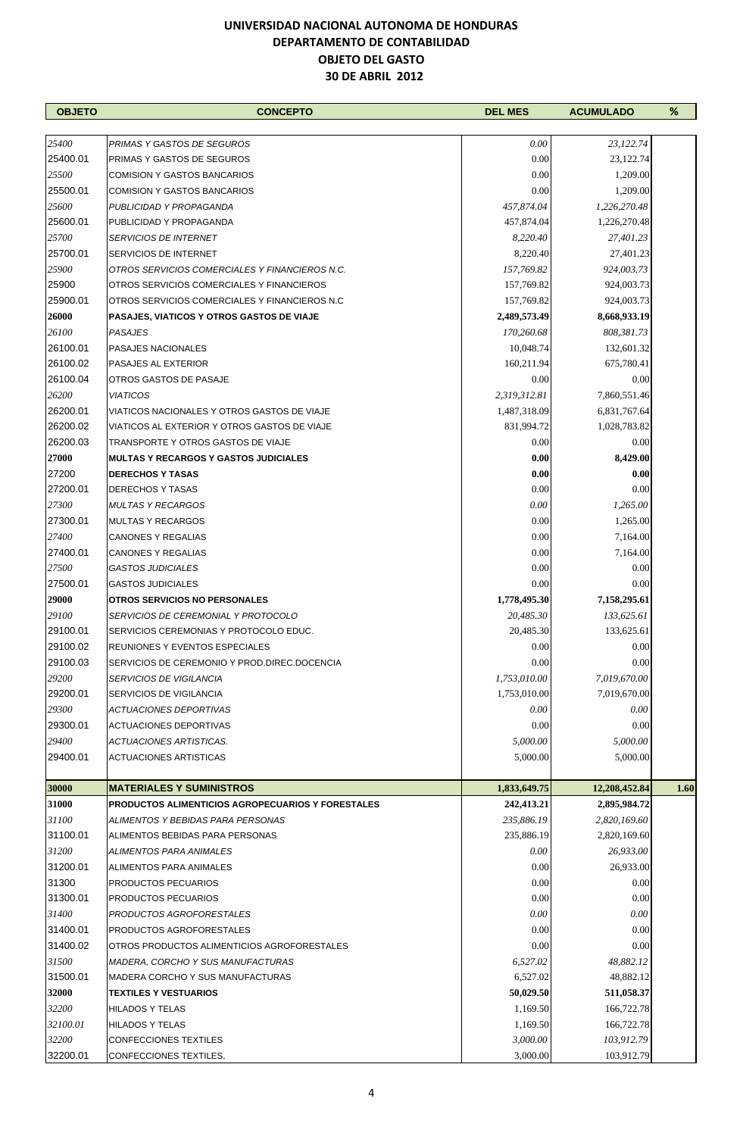| <b>OBJETO</b> | <b>CONCEPTO</b>                                          | <b>DEL MES</b> | <b>ACUMULADO</b> | %    |
|---------------|----------------------------------------------------------|----------------|------------------|------|
|               |                                                          |                |                  |      |
| 25400         | PRIMAS Y GASTOS DE SEGUROS                               | 0.00           | 23,122.74        |      |
| 25400.01      | PRIMAS Y GASTOS DE SEGUROS                               | 0.00           | 23,122.74        |      |
| 25500         | <b>COMISION Y GASTOS BANCARIOS</b>                       | 0.00           | 1,209.00         |      |
| 25500.01      | <b>COMISION Y GASTOS BANCARIOS</b>                       | 0.00           | 1,209.00         |      |
| 25600         | PUBLICIDAD Y PROPAGANDA                                  | 457,874.04     | 1,226,270.48     |      |
| 25600.01      | PUBLICIDAD Y PROPAGANDA                                  | 457,874.04     | 1,226,270.48     |      |
| 25700         | <b>SERVICIOS DE INTERNET</b>                             | 8,220.40       | 27,401.23        |      |
| 25700.01      | <b>SERVICIOS DE INTERNET</b>                             | 8,220.40       | 27,401.23        |      |
| 25900         | OTROS SERVICIOS COMERCIALES Y FINANCIEROS N.C.           | 157,769.82     | 924,003.73       |      |
| 25900         | OTROS SERVICIOS COMERCIALES Y FINANCIEROS                | 157,769.82     | 924,003.73       |      |
| 25900.01      | OTROS SERVICIOS COMERCIALES Y FINANCIEROS N.C.           | 157,769.82     | 924,003.73       |      |
| 26000         | <b>PASAJES, VIATICOS Y OTROS GASTOS DE VIAJE</b>         | 2,489,573.49   | 8,668,933.19     |      |
| 26100         | <b>PASAJES</b>                                           | 170,260.68     | 808,381.73       |      |
| 26100.01      | <b>PASAJES NACIONALES</b>                                | 10,048.74      | 132,601.32       |      |
| 26100.02      | PASAJES AL EXTERIOR                                      | 160,211.94     | 675,780.41       |      |
| 26100.04      | OTROS GASTOS DE PASAJE                                   | 0.00           | 0.00             |      |
| 26200         | <b>VIATICOS</b>                                          | 2,319,312.81   | 7,860,551.46     |      |
| 26200.01      | VIATICOS NACIONALES Y OTROS GASTOS DE VIAJE              | 1,487,318.09   | 6,831,767.64     |      |
| 26200.02      | VIATICOS AL EXTERIOR Y OTROS GASTOS DE VIAJE             | 831,994.72     | 1,028,783.82     |      |
| 26200.03      | TRANSPORTE Y OTROS GASTOS DE VIAJE                       | 0.00           | 0.00             |      |
| 27000         | <b>MULTAS Y RECARGOS Y GASTOS JUDICIALES</b>             | 0.00           | 8,429.00         |      |
| 27200         | <b>DERECHOS Y TASAS</b>                                  | 0.00           | 0.00             |      |
| 27200.01      | <b>DERECHOS Y TASAS</b>                                  | 0.00           | 0.00             |      |
| 27300         | <b>MULTAS Y RECARGOS</b>                                 | 0.00           | 1,265.00         |      |
| 27300.01      | <b>MULTAS Y RECARGOS</b>                                 | 0.00           | 1,265.00         |      |
| 27400         | <b>CANONES Y REGALIAS</b>                                | 0.00           | 7,164.00         |      |
| 27400.01      | <b>CANONES Y REGALIAS</b>                                | 0.00           | 7,164.00         |      |
| 27500         | <b>GASTOS JUDICIALES</b>                                 | 0.00           | 0.00             |      |
| 27500.01      | <b>GASTOS JUDICIALES</b>                                 | 0.00           | 0.00             |      |
| 29000         | OTROS SERVICIOS NO PERSONALES                            | 1,778,495.30   | 7,158,295.61     |      |
| 29100         | SERVICIOS DE CEREMONIAL Y PROTOCOLO                      | 20,485.30      | 133,625.61       |      |
| 29100.01      | SERVICIOS CEREMONIAS Y PROTOCOLO EDUC.                   | 20,485.30      | 133,625.61       |      |
| 29100.02      | <b>REUNIONES Y EVENTOS ESPECIALES</b>                    | 0.00           | 0.00             |      |
| 29100.03      | SERVICIOS DE CEREMONIO Y PROD.DIREC.DOCENCIA             | 0.00           | 0.00             |      |
| 29200         | <b>SERVICIOS DE VIGILANCIA</b>                           | 1,753,010.00   | 7,019,670.00     |      |
| 29200.01      | <b>SERVICIOS DE VIGILANCIA</b>                           | 1,753,010.00   | 7,019,670.00     |      |
| 29300         | <b>ACTUACIONES DEPORTIVAS</b>                            | 0.00           | 0.00             |      |
| 29300.01      | <b>ACTUACIONES DEPORTIVAS</b>                            | 0.00           | 0.00             |      |
| 29400         | ACTUACIONES ARTISTICAS.                                  | 5,000.00       | 5,000.00         |      |
| 29400.01      | <b>ACTUACIONES ARTISTICAS</b>                            | 5,000.00       | 5,000.00         |      |
| 30000         | <b>MATERIALES Y SUMINISTROS</b>                          | 1,833,649.75   | 12,208,452.84    | 1.60 |
| 31000         | <b>PRODUCTOS ALIMENTICIOS AGROPECUARIOS Y FORESTALES</b> | 242,413.21     | 2,895,984.72     |      |
| 31100         | ALIMENTOS Y BEBIDAS PARA PERSONAS                        | 235,886.19     | 2,820,169.60     |      |
| 31100.01      | ALIMENTOS BEBIDAS PARA PERSONAS                          | 235,886.19     | 2,820,169.60     |      |
| 31200         | ALIMENTOS PARA ANIMALES                                  | 0.00           | 26,933.00        |      |
| 31200.01      | ALIMENTOS PARA ANIMALES                                  | 0.00           | 26,933.00        |      |
| 31300         | PRODUCTOS PECUARIOS                                      | 0.00           | 0.00             |      |
| 31300.01      | <b>PRODUCTOS PECUARIOS</b>                               | 0.00           | 0.00             |      |
| 31400         | PRODUCTOS AGROFORESTALES                                 | 0.00           | 0.00             |      |
| 31400.01      | <b>PRODUCTOS AGROFORESTALES</b>                          | 0.00           | 0.00             |      |
| 31400.02      | OTROS PRODUCTOS ALIMENTICIOS AGROFORESTALES              | 0.00           | 0.00             |      |
| 31500         | <b>MADERA, CORCHO Y SUS MANUFACTURAS</b>                 | 6,527.02       | 48,882.12        |      |
| 31500.01      | MADERA CORCHO Y SUS MANUFACTURAS                         | 6,527.02       | 48,882.12        |      |
| 32000         | <b>TEXTILES Y VESTUARIOS</b>                             | 50,029.50      | 511,058.37       |      |
| 32200         | <b>HILADOS Y TELAS</b>                                   | 1,169.50       | 166,722.78       |      |
| 32100.01      | <b>HILADOS Y TELAS</b>                                   | 1,169.50       | 166,722.78       |      |
| 32200         | <b>CONFECCIONES TEXTILES</b>                             | 3,000.00       | 103,912.79       |      |
| 32200.01      | CONFECCIONES TEXTILES,                                   | 3,000.00       | 103,912.79       |      |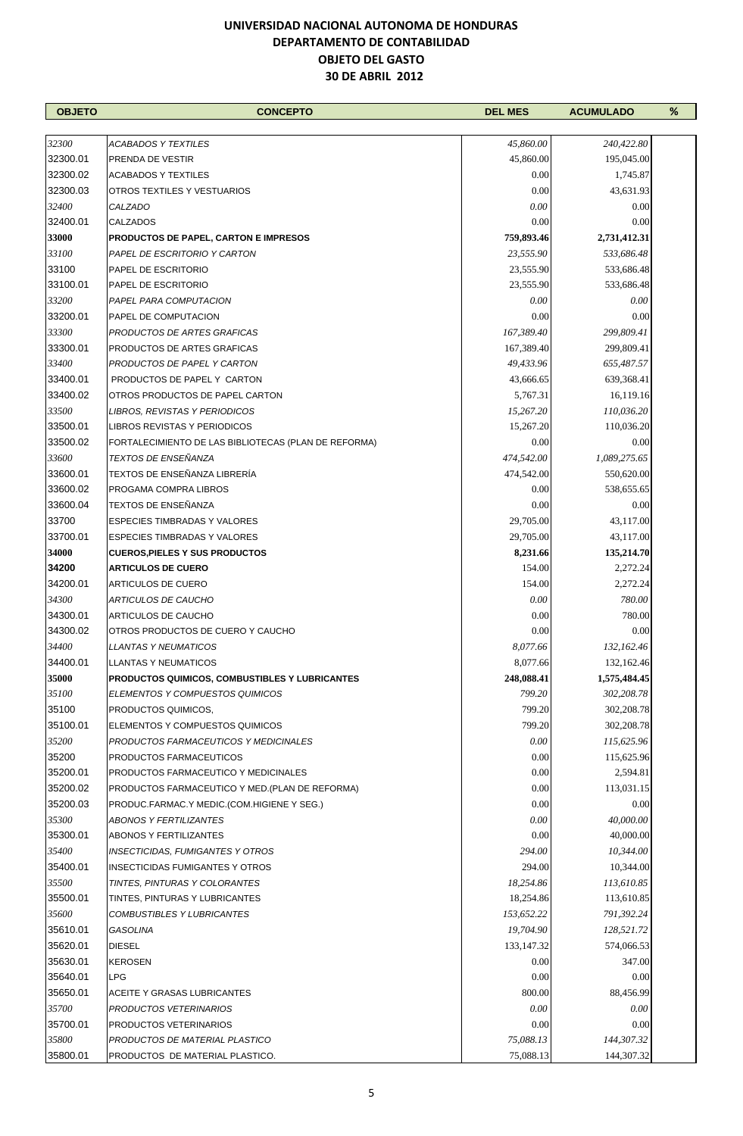| <b>OBJETO</b> | <b>CONCEPTO</b>                                      | <b>DEL MES</b> | <b>ACUMULADO</b> | $\%$ |
|---------------|------------------------------------------------------|----------------|------------------|------|
|               |                                                      |                |                  |      |
| 32300         | <b>ACABADOS Y TEXTILES</b>                           | 45,860.00      | 240,422.80       |      |
| 32300.01      | PRENDA DE VESTIR                                     | 45,860.00      | 195,045.00       |      |
| 32300.02      | <b>ACABADOS Y TEXTILES</b>                           | 0.00           | 1,745.87         |      |
| 32300.03      | OTROS TEXTILES Y VESTUARIOS                          | 0.00           | 43,631.93        |      |
| 32400         | CALZADO                                              | 0.00           | 0.00             |      |
| 32400.01      | <b>CALZADOS</b>                                      | 0.00           | 0.00             |      |
| 33000         | <b>PRODUCTOS DE PAPEL, CARTON E IMPRESOS</b>         | 759,893.46     | 2,731,412.31     |      |
| 33100         | PAPEL DE ESCRITORIO Y CARTON                         | 23,555.90      | 533,686.48       |      |
| 33100         | PAPEL DE ESCRITORIO                                  | 23,555.90      | 533,686.48       |      |
| 33100.01      | PAPEL DE ESCRITORIO                                  | 23,555.90      | 533,686.48       |      |
| 33200         | PAPEL PARA COMPUTACION                               | 0.00           | 0.00             |      |
| 33200.01      | PAPEL DE COMPUTACION                                 | 0.00           | 0.00             |      |
| 33300         | PRODUCTOS DE ARTES GRAFICAS                          | 167,389.40     | 299,809.41       |      |
| 33300.01      | PRODUCTOS DE ARTES GRAFICAS                          | 167,389.40     | 299,809.41       |      |
| 33400         |                                                      |                |                  |      |
| 33400.01      | PRODUCTOS DE PAPEL Y CARTON                          | 49,433.96      | 655,487.57       |      |
|               | PRODUCTOS DE PAPEL Y CARTON                          | 43,666.65      | 639,368.41       |      |
| 33400.02      | OTROS PRODUCTOS DE PAPEL CARTON                      | 5,767.31       | 16,119.16        |      |
| 33500         | LIBROS, REVISTAS Y PERIODICOS                        | 15,267.20      | 110,036.20       |      |
| 33500.01      | <b>LIBROS REVISTAS Y PERIODICOS</b>                  | 15,267.20      | 110,036.20       |      |
| 33500.02      | FORTALECIMIENTO DE LAS BIBLIOTECAS (PLAN DE REFORMA) | 0.00           | 0.00             |      |
| 33600         | <b>TEXTOS DE ENSEÑANZA</b>                           | 474,542.00     | 1,089,275.65     |      |
| 33600.01      | TEXTOS DE ENSEÑANZA LIBRERÍA                         | 474,542.00     | 550,620.00       |      |
| 33600.02      | PROGAMA COMPRA LIBROS                                | 0.00           | 538,655.65       |      |
| 33600.04      | TEXTOS DE ENSEÑANZA                                  | 0.00           | 0.00             |      |
| 33700         | <b>ESPECIES TIMBRADAS Y VALORES</b>                  | 29,705.00      | 43,117.00        |      |
| 33700.01      | <b>ESPECIES TIMBRADAS Y VALORES</b>                  | 29,705.00      | 43,117.00        |      |
| 34000         | <b>CUEROS, PIELES Y SUS PRODUCTOS</b>                | 8,231.66       | 135,214.70       |      |
| 34200         | <b>ARTICULOS DE CUERO</b>                            | 154.00         | 2,272.24         |      |
| 34200.01      | <b>ARTICULOS DE CUERO</b>                            | 154.00         | 2,272.24         |      |
| 34300         | <b>ARTICULOS DE CAUCHO</b>                           | 0.00           | 780.00           |      |
| 34300.01      | <b>ARTICULOS DE CAUCHO</b>                           | 0.00           | 780.00           |      |
| 34300.02      | OTROS PRODUCTOS DE CUERO Y CAUCHO                    | 0.00           | 0.00             |      |
| 34400         | LLANTAS Y NEUMATICOS                                 | 8,077.66       | 132,162.46       |      |
| 34400.01      | <b>LLANTAS Y NEUMATICOS</b>                          | 8,077.66       | 132,162.46       |      |
| 35000         | PRODUCTOS QUIMICOS, COMBUSTIBLES Y LUBRICANTES       | 248,088.41     | 1,575,484.45     |      |
| 35100         | <b>ELEMENTOS Y COMPUESTOS QUIMICOS</b>               | 799.20         | 302,208.78       |      |
| 35100         | PRODUCTOS QUIMICOS,                                  | 799.20         | 302,208.78       |      |
| 35100.01      | ELEMENTOS Y COMPUESTOS QUIMICOS                      | 799.20         | 302,208.78       |      |
| 35200         | PRODUCTOS FARMACEUTICOS Y MEDICINALES                | 0.00           | 115,625.96       |      |
| 35200         | PRODUCTOS FARMACEUTICOS                              | 0.00           | 115,625.96       |      |
| 35200.01      | PRODUCTOS FARMACEUTICO Y MEDICINALES                 | 0.00           | 2,594.81         |      |
| 35200.02      | PRODUCTOS FARMACEUTICO Y MED. (PLAN DE REFORMA)      | 0.00           | 113,031.15       |      |
| 35200.03      | PRODUC FARMAC Y MEDIC (COM HIGIENE Y SEG.)           | 0.00           | 0.00             |      |
| 35300         | <b>ABONOS Y FERTILIZANTES</b>                        | 0.00           | 40,000.00        |      |
| 35300.01      | ABONOS Y FERTILIZANTES                               | 0.00           | 40,000.00        |      |
| 35400         | INSECTICIDAS, FUMIGANTES Y OTROS                     | 294.00         | 10,344.00        |      |
| 35400.01      |                                                      | 294.00         | 10,344.00        |      |
| 35500         | <b>INSECTICIDAS FUMIGANTES Y OTROS</b>               |                |                  |      |
|               | TINTES, PINTURAS Y COLORANTES                        | 18,254.86      | 113,610.85       |      |
| 35500.01      | TINTES, PINTURAS Y LUBRICANTES                       | 18,254.86      | 113,610.85       |      |
| 35600         | <b>COMBUSTIBLES Y LUBRICANTES</b>                    | 153,652.22     | 791,392.24       |      |
| 35610.01      | GASOLINA                                             | 19,704.90      | 128,521.72       |      |
| 35620.01      | <b>DIESEL</b>                                        | 133, 147. 32   | 574,066.53       |      |
| 35630.01      | <b>KEROSEN</b>                                       | 0.00           | 347.00           |      |
| 35640.01      | <b>LPG</b>                                           | 0.00           | 0.00             |      |
| 35650.01      | ACEITE Y GRASAS LUBRICANTES                          | 800.00         | 88,456.99        |      |
| 35700         | PRODUCTOS VETERINARIOS                               | 0.00           | 0.00             |      |
| 35700.01      | PRODUCTOS VETERINARIOS                               | 0.00           | 0.00             |      |
| 35800         | PRODUCTOS DE MATERIAL PLASTICO                       | 75,088.13      | 144,307.32       |      |
| 35800.01      | PRODUCTOS DE MATERIAL PLASTICO.                      | 75,088.13      | 144,307.32       |      |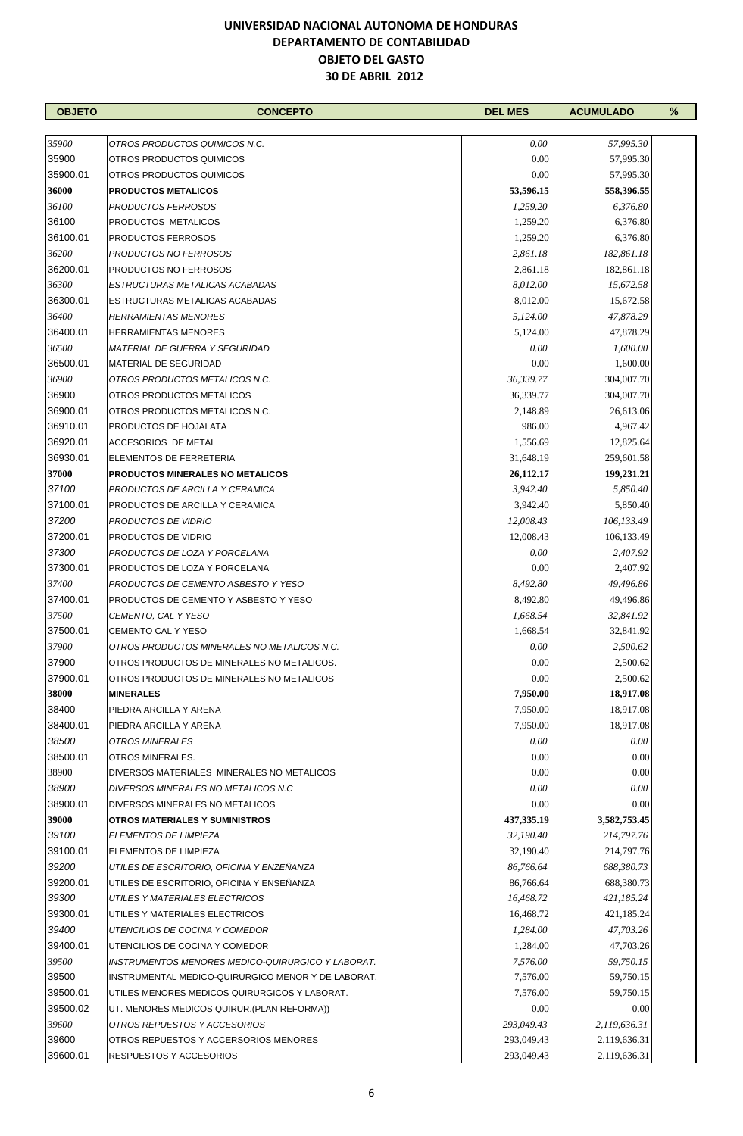| <b>OBJETO</b> | <b>CONCEPTO</b>                                    | <b>DEL MES</b> | <b>ACUMULADO</b> | % |
|---------------|----------------------------------------------------|----------------|------------------|---|
|               |                                                    |                |                  |   |
| 35900         | OTROS PRODUCTOS QUIMICOS N.C.                      | 0.00           | 57,995.30        |   |
| 35900         | OTROS PRODUCTOS QUIMICOS                           | 0.00           | 57,995.30        |   |
| 35900.01      | OTROS PRODUCTOS QUIMICOS                           | 0.00           | 57,995.30        |   |
| 36000         | <b>PRODUCTOS METALICOS</b>                         | 53,596.15      | 558,396.55       |   |
| 36100         | PRODUCTOS FERROSOS                                 | 1,259.20       | 6,376.80         |   |
| 36100         | PRODUCTOS METALICOS                                | 1,259.20       | 6,376.80         |   |
| 36100.01      | <b>PRODUCTOS FERROSOS</b>                          | 1,259.20       | 6,376.80         |   |
| 36200         | <b>PRODUCTOS NO FERROSOS</b>                       | 2,861.18       | 182,861.18       |   |
| 36200.01      | <b>PRODUCTOS NO FERROSOS</b>                       | 2,861.18       | 182,861.18       |   |
| 36300         | ESTRUCTURAS METALICAS ACABADAS                     | 8,012.00       | 15,672.58        |   |
| 36300.01      | ESTRUCTURAS METALICAS ACABADAS                     | 8,012.00       | 15,672.58        |   |
| 36400         | <b>HERRAMIENTAS MENORES</b>                        | 5,124.00       | 47,878.29        |   |
| 36400.01      | <b>HERRAMIENTAS MENORES</b>                        | 5,124.00       | 47,878.29        |   |
| 36500         | <b>MATERIAL DE GUERRA Y SEGURIDAD</b>              | 0.00           | 1,600.00         |   |
| 36500.01      | MATERIAL DE SEGURIDAD                              | 0.00           | 1,600.00         |   |
| 36900         | OTROS PRODUCTOS METALICOS N.C.                     | 36,339.77      | 304,007.70       |   |
| 36900         | OTROS PRODUCTOS METALICOS                          | 36,339.77      | 304,007.70       |   |
| 36900.01      | OTROS PRODUCTOS METALICOS N.C.                     | 2,148.89       | 26,613.06        |   |
| 36910.01      | PRODUCTOS DE HOJALATA                              | 986.00         | 4,967.42         |   |
| 36920.01      | <b>ACCESORIOS DE METAL</b>                         | 1,556.69       | 12,825.64        |   |
| 36930.01      | ELEMENTOS DE FERRETERIA                            | 31,648.19      | 259,601.58       |   |
| 37000         | <b>PRODUCTOS MINERALES NO METALICOS</b>            | 26,112.17      | 199,231.21       |   |
| 37100         | PRODUCTOS DE ARCILLA Y CERAMICA                    | 3,942.40       | 5,850.40         |   |
| 37100.01      | PRODUCTOS DE ARCILLA Y CERAMICA                    | 3,942.40       | 5,850.40         |   |
| 37200         | PRODUCTOS DE VIDRIO                                | 12,008.43      | 106,133.49       |   |
| 37200.01      | PRODUCTOS DE VIDRIO                                | 12,008.43      | 106,133.49       |   |
| 37300         | PRODUCTOS DE LOZA Y PORCELANA                      | 0.00           | 2,407.92         |   |
| 37300.01      | PRODUCTOS DE LOZA Y PORCELANA                      | 0.00           | 2,407.92         |   |
| 37400         | PRODUCTOS DE CEMENTO ASBESTO Y YESO                | 8,492.80       | 49,496.86        |   |
| 37400.01      | PRODUCTOS DE CEMENTO Y ASBESTO Y YESO              | 8,492.80       | 49,496.86        |   |
| 37500         | CEMENTO, CAL Y YESO                                | 1,668.54       | 32,841.92        |   |
| 37500.01      | CEMENTO CAL Y YESO                                 | 1,668.54       | 32,841.92        |   |
| 37900         | OTROS PRODUCTOS MINERALES NO METALICOS N.C.        | $0.00\,$       | 2,500.62         |   |
| 37900         | OTROS PRODUCTOS DE MINERALES NO METALICOS.         | 0.00           | 2,500.62         |   |
| 37900.01      | OTROS PRODUCTOS DE MINERALES NO METALICOS          | 0.00           | 2,500.62         |   |
| 38000         | <b>MINERALES</b>                                   | 7,950.00       | 18,917.08        |   |
| 38400         | PIEDRA ARCILLA Y ARENA                             | 7,950.00       | 18,917.08        |   |
| 38400.01      | PIEDRA ARCILLA Y ARENA                             | 7,950.00       | 18,917.08        |   |
| 38500         | OTROS MINERALES                                    | 0.00           | $0.00\,$         |   |
| 38500.01      | OTROS MINERALES.                                   | 0.00           | 0.00             |   |
| 38900         | DIVERSOS MATERIALES MINERALES NO METALICOS         | 0.00           | 0.00             |   |
| 38900         | DIVERSOS MINERALES NO METALICOS N.C.               | 0.00           | 0.00             |   |
| 38900.01      | DIVERSOS MINERALES NO METALICOS                    | 0.00           | 0.00             |   |
| 39000         | <b>OTROS MATERIALES Y SUMINISTROS</b>              | 437, 335. 19   | 3,582,753.45     |   |
| 39100         | ELEMENTOS DE LIMPIEZA                              | 32,190.40      | 214,797.76       |   |
| 39100.01      | ELEMENTOS DE LIMPIEZA                              | 32,190.40      | 214,797.76       |   |
| 39200         | UTILES DE ESCRITORIO, OFICINA Y ENZEÑANZA          | 86,766.64      | 688,380.73       |   |
| 39200.01      | UTILES DE ESCRITORIO, OFICINA Y ENSEÑANZA          | 86,766.64      | 688,380.73       |   |
| 39300         | UTILES Y MATERIALES ELECTRICOS                     | 16,468.72      | 421,185.24       |   |
| 39300.01      | UTILES Y MATERIALES ELECTRICOS                     | 16,468.72      | 421,185.24       |   |
| 39400         | UTENCILIOS DE COCINA Y COMEDOR                     | 1,284.00       | 47,703.26        |   |
| 39400.01      | UTENCILIOS DE COCINA Y COMEDOR                     | 1,284.00       | 47,703.26        |   |
| 39500         | INSTRUMENTOS MENORES MEDICO-QUIRURGICO Y LABORAT.  | 7,576.00       | 59,750.15        |   |
| 39500         | INSTRUMENTAL MEDICO-QUIRURGICO MENOR Y DE LABORAT. | 7,576.00       | 59,750.15        |   |
| 39500.01      | UTILES MENORES MEDICOS QUIRURGICOS Y LABORAT.      | 7,576.00       | 59,750.15        |   |
| 39500.02      | UT. MENORES MEDICOS QUIRUR. (PLAN REFORMA))        | 0.00           | 0.00             |   |
| 39600         | OTROS REPUESTOS Y ACCESORIOS                       | 293,049.43     | 2,119,636.31     |   |
| 39600         | OTROS REPUESTOS Y ACCERSORIOS MENORES              | 293,049.43     | 2,119,636.31     |   |
| 39600.01      | RESPUESTOS Y ACCESORIOS                            | 293,049.43     | 2,119,636.31     |   |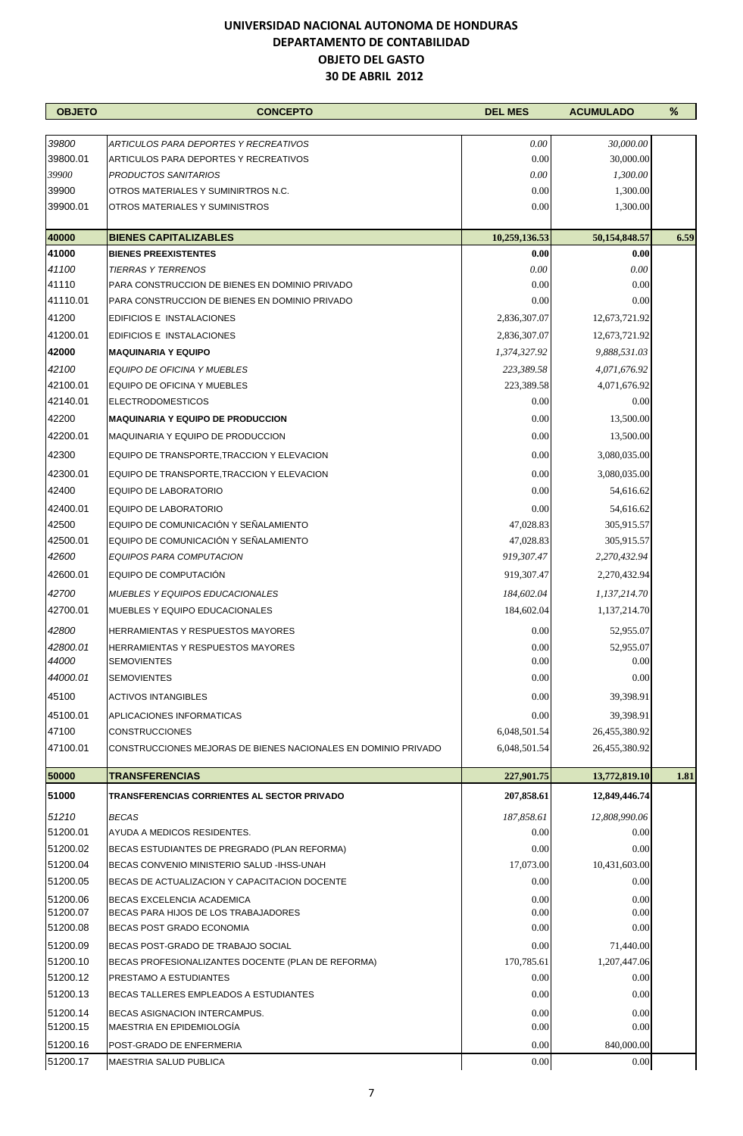| <b>OBJETO</b>        | <b>CONCEPTO</b>                                                                | <b>DEL MES</b>     | <b>ACUMULADO</b>       | %    |
|----------------------|--------------------------------------------------------------------------------|--------------------|------------------------|------|
|                      |                                                                                | 0.00               |                        |      |
| 39800<br>39800.01    | ARTICULOS PARA DEPORTES Y RECREATIVOS<br>ARTICULOS PARA DEPORTES Y RECREATIVOS | 0.00               | 30,000.00<br>30,000.00 |      |
| 39900                | PRODUCTOS SANITARIOS                                                           | 0.00               | 1,300.00               |      |
| 39900                | OTROS MATERIALES Y SUMINIRTROS N.C.                                            | 0.00               | 1,300.00               |      |
| 39900.01             | OTROS MATERIALES Y SUMINISTROS                                                 | 0.00               | 1,300.00               |      |
| 40000                | <b>BIENES CAPITALIZABLES</b>                                                   | 10,259,136.53      | 50,154,848.57          | 6.59 |
| 41000                | <b>BIENES PREEXISTENTES</b>                                                    | 0.00               | 0.00                   |      |
| 41100                | <b>TIERRAS Y TERRENOS</b>                                                      | 0.00               | 0.00                   |      |
| 41110                | PARA CONSTRUCCION DE BIENES EN DOMINIO PRIVADO                                 | 0.00               | 0.00                   |      |
| 41110.01             | PARA CONSTRUCCION DE BIENES EN DOMINIO PRIVADO                                 | 0.00               | 0.00                   |      |
| 41200                | EDIFICIOS E INSTALACIONES                                                      | 2,836,307.07       | 12,673,721.92          |      |
| 41200.01             | <b>EDIFICIOS E INSTALACIONES</b>                                               | 2,836,307.07       | 12,673,721.92          |      |
| 42000                | <b>MAQUINARIA Y EQUIPO</b>                                                     | 1,374,327.92       | 9,888,531.03           |      |
| 42100                | EQUIPO DE OFICINA Y MUEBLES                                                    | 223,389.58         | 4,071,676.92           |      |
| 42100.01             | EQUIPO DE OFICINA Y MUEBLES                                                    | 223,389.58         | 4,071,676.92           |      |
| 42140.01             | <b>ELECTRODOMESTICOS</b>                                                       | 0.00               | 0.00                   |      |
| 42200                | <b>MAQUINARIA Y EQUIPO DE PRODUCCION</b>                                       | 0.00               | 13,500.00              |      |
| 42200.01             | MAQUINARIA Y EQUIPO DE PRODUCCION                                              | 0.00               | 13,500.00              |      |
| 42300                | EQUIPO DE TRANSPORTE, TRACCION Y ELEVACION                                     | 0.00               | 3,080,035.00           |      |
| 42300.01             | EQUIPO DE TRANSPORTE, TRACCION Y ELEVACION                                     | 0.00               | 3,080,035.00           |      |
| 42400                | EQUIPO DE LABORATORIO                                                          | 0.00               | 54,616.62              |      |
| 42400.01             | EQUIPO DE LABORATORIO                                                          | 0.00               | 54,616.62              |      |
| 42500                | EQUIPO DE COMUNICACIÓN Y SEÑALAMIENTO                                          | 47,028.83          | 305,915.57             |      |
| 42500.01             | EQUIPO DE COMUNICACIÓN Y SEÑALAMIENTO                                          | 47,028.83          | 305,915.57             |      |
| 42600                | EQUIPOS PARA COMPUTACION                                                       | 919,307.47         | 2,270,432.94           |      |
| 42600.01             | EQUIPO DE COMPUTACIÓN                                                          | 919,307.47         | 2,270,432.94           |      |
| 42700                | <b>MUEBLES Y EQUIPOS EDUCACIONALES</b>                                         | 184,602.04         | 1,137,214.70           |      |
| 42700.01             | MUEBLES Y EQUIPO EDUCACIONALES                                                 | 184,602.04         | 1,137,214.70           |      |
| 42800                | HERRAMIENTAS Y RESPUESTOS MAYORES                                              | 0.00               | 52,955.07              |      |
| 42800.01             | <b>HERRAMIENTAS Y RESPUESTOS MAYORES</b>                                       | 0.00               | 52,955.07              |      |
| 44000                | <b>SEMOVIENTES</b>                                                             | 0.00               | 0.00                   |      |
| 44000.01             | <b>SEMOVIENTES</b>                                                             | 0.00               | 0.00                   |      |
| 45100                | <b>ACTIVOS INTANGIBLES</b>                                                     | 0.00               | 39,398.91              |      |
| 45100.01             | APLICACIONES INFORMATICAS                                                      | 0.00               | 39,398.91              |      |
| 47100                | <b>CONSTRUCCIONES</b>                                                          | 6,048,501.54       | 26,455,380.92          |      |
| 47100.01             | CONSTRUCCIONES MEJORAS DE BIENES NACIONALES EN DOMINIO PRIVADO                 | 6,048,501.54       | 26,455,380.92          |      |
| 50000                | <b>TRANSFERENCIAS</b>                                                          | 227,901.75         | 13,772,819.10          | 1.81 |
| 51000                | <b>TRANSFERENCIAS CORRIENTES AL SECTOR PRIVADO</b>                             | 207,858.61         | 12,849,446.74          |      |
| 51210                | <b>BECAS</b>                                                                   | 187,858.61         | 12,808,990.06          |      |
| 51200.01             | AYUDA A MEDICOS RESIDENTES.                                                    | 0.00               | 0.00                   |      |
| 51200.02             | BECAS ESTUDIANTES DE PREGRADO (PLAN REFORMA)                                   | 0.00               | 0.00                   |      |
| 51200.04             | BECAS CONVENIO MINISTERIO SALUD - IHSS-UNAH                                    | 17,073.00          | 10,431,603.00          |      |
| 51200.05             | BECAS DE ACTUALIZACION Y CAPACITACION DOCENTE                                  | 0.00               | 0.00                   |      |
| 51200.06             | BECAS EXCELENCIA ACADEMICA                                                     | 0.00               | 0.00                   |      |
| 51200.07<br>51200.08 | BECAS PARA HIJOS DE LOS TRABAJADORES                                           | 0.00               | 0.00                   |      |
|                      | BECAS POST GRADO ECONOMIA                                                      | 0.00               | 0.00                   |      |
| 51200.09<br>51200.10 | BECAS POST-GRADO DE TRABAJO SOCIAL                                             | 0.00<br>170,785.61 | 71,440.00              |      |
| 51200.12             | BECAS PROFESIONALIZANTES DOCENTE (PLAN DE REFORMA)<br>PRESTAMO A ESTUDIANTES   | 0.00               | 1,207,447.06<br>0.00   |      |
| 51200.13             | BECAS TALLERES EMPLEADOS A ESTUDIANTES                                         | 0.00               | 0.00                   |      |
|                      |                                                                                |                    |                        |      |
| 51200.14<br>51200.15 | BECAS ASIGNACION INTERCAMPUS.<br>MAESTRIA EN EPIDEMIOLOGÍA                     | 0.00<br>0.00       | 0.00<br>0.00           |      |
| 51200.16             | POST-GRADO DE ENFERMERIA                                                       | 0.00               | 840,000.00             |      |
| 51200.17             | MAESTRIA SALUD PUBLICA                                                         | 0.00               | $0.00\,$               |      |
|                      |                                                                                |                    |                        |      |